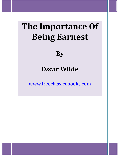# **The Importance Of Being Earnest**

**By** 

## **Oscar Wilde**

www.freeclassicebooks.com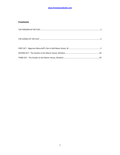#### **www.freeclassicebooks.com**

#### **Contents**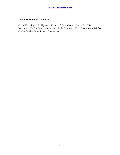#### **THE PERSONS IN THE PLAY**

John Worthing, J.P. Algernon Moncrieff Rev. Canon Chasuble, D.D. Merriman, Butler Lane, Manservant Lady Bracknell Hon. Gwendolen Fairfax Cecily Cardew Miss Prism, Governess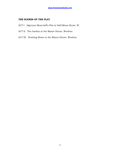#### **THE SCENES OF THE PLAY**

- ACT I. Algernon Moncrieff's Flat in Half-Moon Street, W.
- ACT II. The Garden at the Manor House, Woolton.
- ACT III. Drawing-Room at the Manor House, Woolton.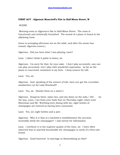### **FIRST ACT - Algernon Moncrieff's Flat in Half-Moon Street, W**

**SCENE** 

 Morning-room in Algernon's flat in Half-Moon Street. The room is luxuriously and artistically furnished. The sound of a piano is heard in the adjoining room.

[Lane is arranging afternoon tea on the table, and after the music has ceased, Algernon enters.]

Algernon. Did you hear what I was playing, Lane?

Lane. I didn't think it polite to listen, sir.

Algernon. I'm sorry for that, for your sake. I don't play accurately--any one can play accurately--but I play with wonderful expression. As far as the piano is concerned, sentiment is my forte. I keep science for Life.

Lane. Yes, sir.

Algernon. And, speaking of the science of Life, have you got the cucumber sandwiches cut for Lady Bracknell?

Lane. Yes, sir. [Hands them on a salver.]

Algernon. [Inspects them, takes two, and sits down on the sofa.] Oh! . . . by the way, Lane, I see from your book that on Thursday night, when Lord Shoreman and Mr. Worthing were dining with me, eight bottles of champagne are entered as having been consumed.

Lane. Yes, sir; eight bottles and a pint.

Algernon. Why is it that at a bachelor's establishment the servants invariably drink the champagne? I ask merely for information.

Lane. I attribute it to the superior quality of the wine, sir. I have often observed that in married households the champagne is rarely of a first-rate brand.

Algernon. Good heavens! Is marriage so demoralising as that?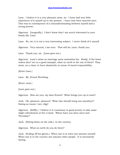Lane. I believe it is a very pleasant state, sir. I have had very little experience of it myself up to the present. I have only been married once. That was in consequence of a misunderstanding between myself and a young person.

Algernon. [Languidly.] I don't know that I am much interested in your family life, Lane.

Lane. No, sir; it is not a very interesting subject. I never think of it myself.

Algernon. Very natural, I am sure. That will do, Lane, thank you.

Lane. Thank you, sir. [Lane goes out.]

Algernon. Lane's views on marriage seem somewhat lax. Really, if the lower orders don't set us a good example, what on earth is the use of them? They seem, as a class, to have absolutely no sense of moral responsibility.

[Enter Lane.]

Lane. Mr. Ernest Worthing.

[Enter Jack.]

[Lane goes out.]

Algernon. How are you, my dear Ernest? What brings you up to town?

Jack. Oh, pleasure, pleasure! What else should bring one anywhere? Eating as usual, I see, Algy!

Algernon. [Stiffly.] I believe it is customary in good society to take some slight refreshment at five o'clock. Where have you been since last Thursday?

Jack. [Sitting down on the sofa.] In the country.

Algernon. What on earth do you do there?

Jack. [Pulling off his gloves.] When one is in town one amuses oneself. When one is in the country one amuses other people. It is excessively boring.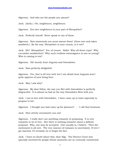Algernon. And who are the people you amuse?

Jack. [Airily.] Oh, neighbours, neighbours.

Algernon. Got nice neighbours in your part of Shropshire?

Jack. Perfectly horrid! Never speak to one of them.

Algernon. How immensely you must amuse them! [Goes over and takes sandwich.] By the way, Shropshire is your county, is it not?

Jack. Eh? Shropshire? Yes, of course. Hallo! Why all these cups? Why cucumber sandwiches? Why such reckless extravagance in one so young? Who is coming to tea?

Algernon. Oh! merely Aunt Augusta and Gwendolen.

Jack. How perfectly delightful!

Algernon. Yes, that is all very well; but I am afraid Aunt Augusta won't quite approve of your being here.

Jack. May I ask why?

Algernon. My dear fellow, the way you flirt with Gwendolen is perfectly disgraceful. It is almost as bad as the way Gwendolen flirts with you.

Jack. I am in love with Gwendolen. I have come up to town expressly to propose to her.

Algernon. I thought you had come up for pleasure? . . . I call that business.

Jack. How utterly unromantic you are!

Algernon. I really don't see anything romantic in proposing. It is very romantic to be in love. But there is nothing romantic about a definite proposal. Why, one may be accepted. One usually is, I believe. Then the excitement is all over. The very essence of romance is uncertainty. If ever I get married, I'll certainly try to forget the fact.

Jack. I have no doubt about that, dear Algy. The Divorce Court was specially invented for people whose memories are so curiously constituted.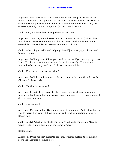Algernon. Oh! there is no use speculating on that subject. Divorces are made in Heaven--[Jack puts out his hand to take a sandwich. Algernon at once interferes.] Please don't touch the cucumber sandwiches. They are ordered specially for Aunt Augusta. [Takes one and eats it.]

Jack. Well, you have been eating them all the time.

Algernon. That is quite a different matter. She is my aunt. [Takes plate from below.] Have some bread and butter. The bread and butter is for Gwendolen. Gwendolen is devoted to bread and butter.

Jack. [Advancing to table and helping himself.] And very good bread and butter it is too.

Algernon. Well, my dear fellow, you need not eat as if you were going to eat it all. You behave as if you were married to her already. You are not married to her already, and I don't think you ever will be.

Jack. Why on earth do you say that?

Algernon. Well, in the first place girls never marry the men they flirt with. Girls don't think it right.

Jack. Oh, that is nonsense!

Algernon. It isn't. It is a great truth. It accounts for the extraordinary number of bachelors that one sees all over the place. In the second place, I don't give my consent.

Jack. Your consent!

Algernon. My dear fellow, Gwendolen is my first cousin. And before I allow you to marry her, you will have to clear up the whole question of Cecily. [Rings bell.]

Jack. Cecily! What on earth do you mean? What do you mean, Algy, by Cecily! I don't know any one of the name of Cecily.

[Enter Lane.]

Algernon. Bring me that cigarette case Mr. Worthing left in the smokingroom the last time he dined here.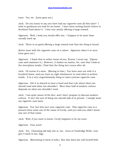Lane. Yes, sir. [Lane goes out.]

Jack. Do you mean to say you have had my cigarette case all this time? I wish to goodness you had let me know. I have been writing frantic letters to Scotland Yard about it. I was very nearly offering a large reward.

Algernon. Well, I wish you would offer one. I happen to be more than usually hard up.

Jack. There is no good offering a large reward now that the thing is found.

[Enter Lane with the cigarette case on a salver. Algernon takes it at once. Lane goes out.]

Algernon. I think that is rather mean of you, Ernest, I must say. [Opens case and examines it.] However, it makes no matter, for, now that I look at the inscription inside, I find that the thing isn't yours after all.

Jack. Of course it's mine. [Moving to him.] You have seen me with it a hundred times, and you have no right whatsoever to read what is written inside. It is a very ungentlemanly thing to read a private cigarette case.

Algernon. Oh! it is absurd to have a hard and fast rule about what one should read and what one shouldn't. More than half of modern culture depends on what one shouldn't read.

Jack. I am quite aware of the fact, and I don't propose to discuss modern culture. It isn't the sort of thing one should talk of in private. I simply want my cigarette case back.

Algernon. Yes; but this isn't your cigarette case. This cigarette case is a present from some one of the name of Cecily, and you said you didn't know any one of that name.

Jack. Well, if you want to know, Cecily happens to be my aunt.

Algernon. Your aunt!

Jack. Yes. Charming old lady she is, too. Lives at Tunbridge Wells. Just give it back to me, Algy.

Algernon. [Retreating to back of sofa.] But why does she call herself little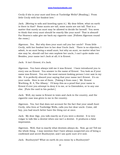Cecily if she is your aunt and lives at Tunbridge Wells? [Reading.] 'From little Cecily with her fondest love.'

Jack. [Moving to sofa and kneeling upon it.] My dear fellow, what on earth is there in that? Some aunts are tall, some aunts are not tall. That is a matter that surely an aunt may be allowed to decide for herself. You seem to think that every aunt should be exactly like your aunt! That is absurd! For Heaven's sake give me back my cigarette case. [Follows Algernon round the room.]

Algernon. Yes. But why does your aunt call you her uncle? 'From little Cecily, with her fondest love to her dear Uncle Jack.' There is no objection, I admit, to an aunt being a small aunt, but why an aunt, no matter what her size may be, should call her own nephew her uncle, I can't quite make out. Besides, your name isn't Jack at all; it is Ernest.

Jack. It isn't Ernest; it's Jack.

Algernon. You have always told me it was Ernest. I have introduced you to every one as Ernest. You answer to the name of Ernest. You look as if your name was Ernest. You are the most earnest-looking person I ever saw in my life. It is perfectly absurd your saying that your name isn't Ernest. It's on your cards. Here is one of them. [Taking it from case.] 'Mr. Ernest Worthing, B. 4, The Albany.' I'll keep this as a proof that your name is Ernest if ever you attempt to deny it to me, or to Gwendolen, or to any one else. [Puts the card in his pocket.]

Jack. Well, my name is Ernest in town and Jack in the country, and the cigarette case was given to me in the country.

Algernon. Yes, but that does not account for the fact that your small Aunt Cecily, who lives at Tunbridge Wells, calls you her dear uncle. Come, old boy, you had much better have the thing out at once.

Jack. My dear Algy, you talk exactly as if you were a dentist. It is very vulgar to talk like a dentist when one isn't a dentist. It produces a false impression.

Algernon. Well, that is exactly what dentists always do. Now, go on! Tell me the whole thing. I may mention that I have always suspected you of being a confirmed and secret Bunburyist; and I am quite sure of it now.

Jack. Bunburyist? What on earth do you mean by a Bunburyist?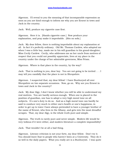Algernon. I'll reveal to you the meaning of that incomparable expression as soon as you are kind enough to inform me why you are Ernest in town and Jack in the country.

Jack. Well, produce my cigarette case first.

Algernon. Here it is. [Hands cigarette case.] Now produce your explanation, and pray make it improbable. [Sits on sofa.]

Jack. My dear fellow, there is nothing improbable about my explanation at all. In fact it's perfectly ordinary. Old Mr. Thomas Cardew, who adopted me when I was a little boy, made me in his will guardian to his grand-daughter, Miss Cecily Cardew. Cecily, who addresses me as her uncle from motives of respect that you could not possibly appreciate, lives at my place in the country under the charge of her admirable governess, Miss Prism.

Algernon. Where is that place in the country, by the way?

Jack. That is nothing to you, dear boy. You are not going to be invited . . . I may tell you candidly that the place is not in Shropshire.

Algernon. I suspected that, my dear fellow! I have Bunburyed all over Shropshire on two separate occasions. Now, go on. Why are you Ernest in town and Jack in the country?

Jack. My dear Algy, I don't know whether you will be able to understand my real motives. You are hardly serious enough. When one is placed in the position of guardian, one has to adopt a very high moral tone on all subjects. It's one's duty to do so. And as a high moral tone can hardly be said to conduce very much to either one's health or one's happiness, in order to get up to town I have always pretended to have a younger brother of the name of Ernest, who lives in the Albany, and gets into the most dreadful scrapes. That, my dear Algy, is the whole truth pure and simple.

Algernon. The truth is rarely pure and never simple. Modern life would be very tedious if it were either, and modern literature a complete impossibility!

Jack. That wouldn't be at all a bad thing.

Algernon. Literary criticism is not your forte, my dear fellow. Don't try it. You should leave that to people who haven't been at a University. They do it so well in the daily papers. What you really are is a Bunburyist. I was quite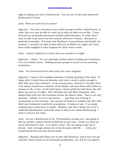right in saying you were a Bunburyist. You are one of the most advanced Bunburyists I know.

Jack. What on earth do you mean?

Algernon. You have invented a very useful younger brother called Ernest, in order that you may be able to come up to town as often as you like. I have invented an invaluable permanent invalid called Bunbury, in order that I may be able to go down into the country whenever I choose. Bunbury is perfectly invaluable. If it wasn't for Bunbury's extraordinary bad health, for instance, I wouldn't be able to dine with you at Willis's to- night, for I have been really engaged to Aunt Augusta for more than a week.

Jack. I haven't asked you to dine with me anywhere to-night.

Algernon. I know. You are absurdly careless about sending out invitations. It is very foolish of you. Nothing annoys people so much as not receiving invitations.

Jack. You had much better dine with your Aunt Augusta.

Algernon. I haven't the smallest intention of doing anything of the kind. To begin with, I dined there on Monday, and once a week is quite enough to dine with one's own relations. In the second place, whenever I do dine there I am always treated as a member of the family, and sent down with either no woman at all, or two. In the third place, I know perfectly well whom she will place me next to, to-night. She will place me next Mary Farquhar, who always flirts with her own husband across the dinner-table. That is not very pleasant. Indeed, it is not even decent . . . and that sort of thing is enormously on the increase. The amount of women in London who flirt with their own husbands is perfectly scandalous. It looks so bad. It is simply washing one's clean linen in public. Besides, now that I know you to be a confirmed Bunburyist I naturally want to talk to you about Bunburying. I want to tell you the rules.

Jack. I'm not a Bunburyist at all. If Gwendolen accepts me, I am going to kill my brother, indeed I think I'll kill him in any case. Cecily is a little too much interested in him. It is rather a bore. So I am going to get rid of Ernest. And I strongly advise you to do the same with Mr. . . . with your invalid friend who has the absurd name.

Algernon. Nothing will induce me to part with Bunbury, and if you ever get married, which seems to me extremely problematic, you will be very glad to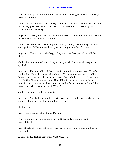know Bunbury. A man who marries without knowing Bunbury has a very tedious time of it.

Jack. That is nonsense. If I marry a charming girl like Gwendolen, and she is the only girl I ever saw in my life that I would marry, I certainly won't want to know Bunbury.

Algernon. Then your wife will. You don't seem to realise, that in married life three is company and two is none.

Jack. [Sententiously.] That, my dear young friend, is the theory that the corrupt French Drama has been propounding for the last fifty years.

Algernon. Yes; and that the happy English home has proved in half the time.

Jack. For heaven's sake, don't try to be cynical. It's perfectly easy to be cynical.

Algernon. My dear fellow, it isn't easy to be anything nowadays. There's such a lot of beastly competition about. [The sound of an electric bell is heard.] Ah! that must be Aunt Augusta. Only relatives, or creditors, ever ring in that Wagnerian manner. Now, if I get her out of the way for ten minutes, so that you can have an opportunity for proposing to Gwendolen, may I dine with you to-night at Willis's?

Jack. I suppose so, if you want to.

Algernon. Yes, but you must be serious about it. I hate people who are not serious about meals. It is so shallow of them.

[Enter Lane.]

Lane. Lady Bracknell and Miss Fairfax.

[Algernon goes forward to meet them. Enter Lady Bracknell and Gwendolen.]

Lady Bracknell. Good afternoon, dear Algernon, I hope you are behaving very well.

Algernon. I'm feeling very well, Aunt Augusta.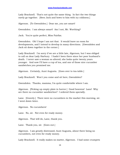Lady Bracknell. That's not quite the same thing. In fact the two things rarely go together. [Sees Jack and bows to him with icy coldness.]

Algernon. [To Gwendolen.] Dear me, you are smart!

Gwendolen. I am always smart! Am I not, Mr. Worthing?

Jack. You're quite perfect, Miss Fairfax.

Gwendolen. Oh! I hope I am not that. It would leave no room for developments, and I intend to develop in many directions. [Gwendolen and Jack sit down together in the corner.]

Lady Bracknell. I'm sorry if we are a little late, Algernon, but I was obliged to call on dear Lady Harbury. I hadn't been there since her poor husband's death. I never saw a woman so altered; she looks quite twenty years younger. And now I'll have a cup of tea, and one of those nice cucumber sandwiches you promised me.

Algernon. Certainly, Aunt Augusta. [Goes over to tea-table.]

Lady Bracknell. Won't you come and sit here, Gwendolen?

Gwendolen. Thanks, mamma, I'm quite comfortable where I am.

Algernon. [Picking up empty plate in horror.] Good heavens! Lane! Why are there no cucumber sandwiches? I ordered them specially.

Lane. [Gravely.] There were no cucumbers in the market this morning, sir. I went down twice.

Algernon. No cucumbers!

Lane. No, sir. Not even for ready money.

Algernon. That will do, Lane, thank you.

Lane. Thank you, sir. [Goes out.]

Algernon. I am greatly distressed, Aunt Augusta, about there being no cucumbers, not even for ready money.

Lady Bracknell. It really makes no matter, Algernon. I had some crumpets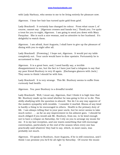with Lady Harbury, who seems to me to be living entirely for pleasure now.

Algernon. I hear her hair has turned quite gold from grief.

Lady Bracknell. It certainly has changed its colour. From what cause I, of course, cannot say. [Algernon crosses and hands tea.] Thank you. I've quite a treat for you to-night, Algernon. I am going to send you down with Mary Farquhar. She is such a nice woman, and so attentive to her husband. It's delightful to watch them.

Algernon. I am afraid, Aunt Augusta, I shall have to give up the pleasure of dining with you to-night after all.

Lady Bracknell. [Frowning.] I hope not, Algernon. It would put my table completely out. Your uncle would have to dine upstairs. Fortunately he is accustomed to that.

Algernon. It is a great bore, and, I need hardly say, a terrible disappointment to me, but the fact is I have just had a telegram to say that my poor friend Bunbury is very ill again. [Exchanges glances with Jack.] They seem to think I should be with him.

Lady Bracknell. It is very strange. This Mr. Bunbury seems to suffer from curiously bad health.

Algernon. Yes; poor Bunbury is a dreadful invalid.

Lady Bracknell. Well, I must say, Algernon, that I think it is high time that Mr. Bunbury made up his mind whether he was going to live or to die. This shilly-shallying with the question is absurd. Nor do I in any way approve of the modern sympathy with invalids. I consider it morbid. Illness of any kind is hardly a thing to be encouraged in others. Health is the primary duty of life. I am always telling that to your poor uncle, but he never seems to take much notice . . . as far as any improvement in his ailment goes. I should be much obliged if you would ask Mr. Bunbury, from me, to be kind enough not to have a relapse on Saturday, for I rely on you to arrange my music for me. It is my last reception, and one wants something that will encourage conversation, particularly at the end of the season when every one has practically said whatever they had to say, which, in most cases, was probably not much.

Algernon. I'll speak to Bunbury, Aunt Augusta, if he is still conscious, and I think I can promise you he'll be all right by Saturday. Of course the music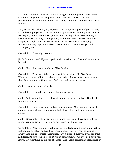is a great difficulty. You see, if one plays good music, people don't listen, and if one plays bad music people don't talk. But I'll run over the programme I've drawn out, if you will kindly come into the next room for a moment.

Lady Bracknell. Thank you, Algernon. It is very thoughtful of you. [Rising, and following Algernon.] I'm sure the programme will be delightful, after a few expurgations. French songs I cannot possibly allow. People always seem to think that they are improper, and either look shocked, which is vulgar, or laugh, which is worse. But German sounds a thoroughly respectable language, and indeed, I believe is so. Gwendolen, you will accompany me.

Gwendolen. Certainly, mamma.

[Lady Bracknell and Algernon go into the music-room, Gwendolen remains behind.]

Jack. Charming day it has been, Miss Fairfax.

Gwendolen. Pray don't talk to me about the weather, Mr. Worthing. Whenever people talk to me about the weather, I always feel quite certain that they mean something else. And that makes me so nervous.

Jack. I do mean something else.

Gwendolen. I thought so. In fact, I am never wrong.

Jack. And I would like to be allowed to take advantage of Lady Bracknell's temporary absence . . .

Gwendolen. I would certainly advise you to do so. Mamma has a way of coming back suddenly into a room that I have often had to speak to her about.

Jack. [Nervously.] Miss Fairfax, ever since I met you I have admired you more than any girl . . . I have ever met since . . . I met you.

Gwendolen. Yes, I am quite well aware of the fact. And I often wish that in public, at any rate, you had been more demonstrative. For me you have always had an irresistible fascination. Even before I met you I was far from indifferent to you. [Jack looks at her in amazement.] We live, as I hope you know, Mr. Worthing, in an age of ideals. The fact is constantly mentioned in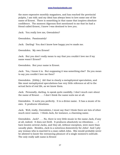the more expensive monthly magazines, and has reached the provincial pulpits, I am told; and my ideal has always been to love some one of the name of Ernest. There is something in that name that inspires absolute confidence. The moment Algernon first mentioned to me that he had a friend called Ernest, I knew I was destined to love you.

Jack. You really love me, Gwendolen?

Gwendolen. Passionately!

Jack. Darling! You don't know how happy you've made me.

Gwendolen. My own Ernest!

Jack. But you don't really mean to say that you couldn't love me if my name wasn't Ernest?

Gwendolen. But your name is Ernest.

Jack. Yes, I know it is. But supposing it was something else? Do you mean to say you couldn't love me then?

Gwendolen. [Glibly.] Ah! that is clearly a metaphysical speculation, and like most metaphysical speculations has very little reference at all to the actual facts of real life, as we know them.

Jack. Personally, darling, to speak quite candidly, I don't much care about the name of Ernest . . . I don't think the name suits me at all.

Gwendolen. It suits you perfectly. It is a divine name. It has a music of its own. It produces vibrations.

Jack. Well, really, Gwendolen, I must say that I think there are lots of other much nicer names. I think Jack, for instance, a charming name.

Gwendolen. Jack? . . . No, there is very little music in the name Jack, if any at all, indeed. It does not thrill. It produces absolutely no vibrations . . . I have known several Jacks, and they all, without exception, were more than usually plain. Besides, Jack is a notorious domesticity for John! And I pity any woman who is married to a man called John. She would probably never be allowed to know the entrancing pleasure of a single moment's solitude. The only really safe name is Ernest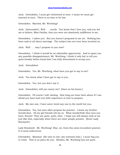Jack. Gwendolen, I must get christened at once--I mean we must get married at once. There is no time to be lost.

Gwendolen. Married, Mr. Worthing?

Jack. [Astounded.] Well . . . surely. You know that I love you, and you led me to believe, Miss Fairfax, that you were not absolutely indifferent to me.

Gwendolen. I adore you. But you haven't proposed to me yet. Nothing has been said at all about marriage. The subject has not even been touched on.

Jack. Well . . . may I propose to you now?

Gwendolen. I think it would be an admirable opportunity. And to spare you any possible disappointment, Mr. Worthing, I think it only fair to tell you quite frankly before-hand that I am fully determined to accept you.

Jack. Gwendolen!

Gwendolen. Yes, Mr. Worthing, what have you got to say to me?

Jack. You know what I have got to say to you.

Gwendolen. Yes, but you don't say it.

Jack. Gwendolen, will you marry me? [Goes on his knees.]

Gwendolen. Of course I will, darling. How long you have been about it! I am afraid you have had very little experience in how to propose.

Jack. My own one, I have never loved any one in the world but you.

Gwendolen. Yes, but men often propose for practice. I know my brother Gerald does. All my girl-friends tell me so. What wonderfully blue eyes you have, Ernest! They are quite, quite, blue. I hope you will always look at me just like that, especially when there are other people present. [Enter Lady Bracknell.]

Lady Bracknell. Mr. Worthing! Rise, sir, from this semi-recumbent posture. It is most indecorous.

Gwendolen. Mamma! [He tries to rise; she restrains him.] I must beg you to retire. This is no place for you. Besides, Mr. Worthing has not quite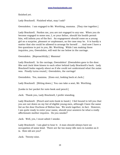finished yet.

Lady Bracknell. Finished what, may I ask?

Gwendolen. I am engaged to Mr. Worthing, mamma. [They rise together.]

Lady Bracknell. Pardon me, you are not engaged to any one. When you do become engaged to some one, I, or your father, should his health permit him, will inform you of the fact. An engagement should come on a young girl as a surprise, pleasant or unpleasant, as the case may be. It is hardly a matter that she could be allowed to arrange for herself . . . And now I have a few questions to put to you, Mr. Worthing. While I am making these inquiries, you, Gwendolen, will wait for me below in the carriage.

Gwendolen. [Reproachfully.] Mamma!

Lady Bracknell. In the carriage, Gwendolen! [Gwendolen goes to the door. She and Jack blow kisses to each other behind Lady Bracknell's back. Lady Bracknell looks vaguely about as if she could not understand what the noise was. Finally turns round.] Gwendolen, the carriage!

Gwendolen. Yes, mamma. [Goes out, looking back at Jack.]

Lady Bracknell. [Sitting down.] You can take a seat, Mr. Worthing.

[Looks in her pocket for note-book and pencil.]

Jack. Thank you, Lady Bracknell, I prefer standing.

Lady Bracknell. [Pencil and note-book in hand.] I feel bound to tell you that you are not down on my list of eligible young men, although I have the same list as the dear Duchess of Bolton has. We work together, in fact. However, I am quite ready to enter your name, should your answers be what a really affectionate mother requires. Do you smoke?

Jack. Well, yes, I must admit I smoke.

Lady Bracknell. I am glad to hear it. A man should always have an occupation of some kind. There are far too many idle men in London as it is. How old are you?

Jack. Twenty-nine.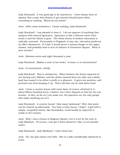Lady Bracknell. A very good age to be married at. I have always been of opinion that a man who desires to get married should know either everything or nothing. Which do you know?

Jack. [After some hesitation.] I know nothing, Lady Bracknell.

Lady Bracknell. I am pleased to hear it. I do not approve of anything that tampers with natural ignorance. Ignorance is like a delicate exotic fruit; touch it and the bloom is gone. The whole theory of modern education is radically unsound. Fortunately in England, at any rate, education produces no effect whatsoever. If it did, it would prove a serious danger to the upper classes, and probably lead to acts of violence in Grosvenor Square. What is your income?

Jack. Between seven and eight thousand a year.

Lady Bracknell. [Makes a note in her book.] In land, or in investments?

Jack. In investments, chiefly.

Lady Bracknell. That is satisfactory. What between the duties expected of one during one's lifetime, and the duties exacted from one after one's death, land has ceased to be either a profit or a pleasure. It gives one position, and prevents one from keeping it up. That's all that can be said about land.

Jack. I have a country house with some land, of course, attached to it, about fifteen hundred acres, I believe; but I don't depend on that for my real income. In fact, as far as I can make out, the poachers are the only people who make anything out of it.

Lady Bracknell. A country house! How many bedrooms? Well, that point can be cleared up afterwards. You have a town house, I hope? A girl with a simple, unspoiled nature, like Gwendolen, could hardly be expected to reside in the country.

Jack. Well, I own a house in Belgrave Square, but it is let by the year to Lady Bloxham. Of course, I can get it back whenever I like, at six months' notice.

Lady Bracknell. Lady Bloxham? I don't know her.

Jack. Oh, she goes about very little. She is a lady considerably advanced in years.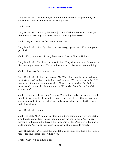Lady Bracknell. Ah, nowadays that is no guarantee of respectability of character. What number in Belgrave Square?

Jack. 149.

Lady Bracknell. [Shaking her head.] The unfashionable side. I thought there was something. However, that could easily be altered.

Jack. Do you mean the fashion, or the side?

Lady Bracknell. [Sternly.] Both, if necessary, I presume. What are your politics?

Jack. Well, I am afraid I really have none. I am a Liberal Unionist.

Lady Bracknell. Oh, they count as Tories. They dine with us. Or come in the evening, at any rate. Now to minor matters. Are your parents living?

Jack. I have lost both my parents.

Lady Bracknell. To lose one parent, Mr. Worthing, may be regarded as a misfortune; to lose both looks like carelessness. Who was your father? He was evidently a man of some wealth. Was he born in what the Radical papers call the purple of commerce, or did he rise from the ranks of the aristocracy?

Jack. I am afraid I really don't know. The fact is, Lady Bracknell, I said I had lost my parents. It would be nearer the truth to say that my parents seem to have lost me . . . I don't actually know who I am by birth. I was . . . well, I was found.

Lady Bracknell. Found!

Jack. The late Mr. Thomas Cardew, an old gentleman of a very charitable and kindly disposition, found me, and gave me the name of Worthing, because he happened to have a first-class ticket for Worthing in his pocket at the time. Worthing is a place in Sussex. It is a seaside resort.

Lady Bracknell. Where did the charitable gentleman who had a first-class ticket for this seaside resort find you?

Jack. [Gravely.] In a hand-bag.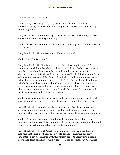Lady Bracknell. A hand-bag?

Jack. [Very seriously.] Yes, Lady Bracknell. I was in a hand-bag--a somewhat large, black leather hand-bag, with handles to it--an ordinary hand-bag in fact.

Lady Bracknell. In what locality did this Mr. James, or Thomas, Cardew come across this ordinary hand-bag?

Jack. In the cloak-room at Victoria Station. It was given to him in mistake for his own.

Lady Bracknell. The cloak-room at Victoria Station?

Jack. Yes. The Brighton line.

Lady Bracknell. The line is immaterial. Mr. Worthing, I confess I feel somewhat bewildered by what you have just told me. To be born, or at any rate bred, in a hand-bag, whether it had handles or not, seems to me to display a contempt for the ordinary decencies of family life that reminds one of the worst excesses of the French Revolution. And I presume you know what that unfortunate movement led to? As for the particular locality in which the hand-bag was found, a cloak-room at a railway station might serve to conceal a social indiscretion--has probably, indeed, been used for that purpose before now--but it could hardly be regarded as an assured basis for a recognised position in good society.

Jack. May I ask you then what you would advise me to do? I need hardly say I would do anything in the world to ensure Gwendolen's happiness.

Lady Bracknell. I would strongly advise you, Mr. Worthing, to try and acquire some relations as soon as possible, and to make a definite effort to produce at any rate one parent, of either sex, before the season is quite over.

Jack. Well, I don't see how I could possibly manage to do that. I can produce the hand-bag at any moment. It is in my dressing-room at home. I really think that should satisfy you, Lady Bracknell.

Lady Bracknell. Me, sir! What has it to do with me? You can hardly imagine that I and Lord Bracknell would dream of allowing our only daughter--a girl brought up with the utmost care--to marry into a cloakroom, and form an alliance with a parcel? Good morning, Mr. Worthing!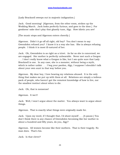[Lady Bracknell sweeps out in majestic indignation.]

Jack. Good morning! [Algernon, from the other room, strikes up the Wedding March. Jack looks perfectly furious, and goes to the door.] For goodness' sake don't play that ghastly tune, Algy. How idiotic you are!

[The music stops and Algernon enters cheerily.]

Algernon. Didn't it go off all right, old boy? You don't mean to say Gwendolen refused you? I know it is a way she has. She is always refusing people. I think it is most ill-natured of her.

Jack. Oh, Gwendolen is as right as a trivet. As far as she is concerned, we are engaged. Her mother is perfectly unbearable. Never met such a Gorgon . . . I don't really know what a Gorgon is like, but I am quite sure that Lady Bracknell is one. In any case, she is a monster, without being a myth, which is rather unfair . . . I beg your pardon, Algy, I suppose I shouldn't talk about your own aunt in that way before you.

Algernon. My dear boy, I love hearing my relations abused. It is the only thing that makes me put up with them at all. Relations are simply a tedious pack of people, who haven't got the remotest knowledge of how to live, nor the smallest instinct about when to die.

Jack. Oh, that is nonsense!

Algernon. It isn't!

Jack. Well, I won't argue about the matter. You always want to argue about things.

Algernon. That is exactly what things were originally made for.

Jack. Upon my word, if I thought that, I'd shoot myself . . . [A pause.] You don't think there is any chance of Gwendolen becoming like her mother in about a hundred and fifty years, do you, Algy?

Algernon. All women become like their mothers. That is their tragedy. No man does. That's his.

Jack. Is that clever?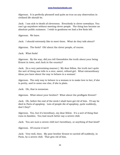Algernon. It is perfectly phrased! and quite as true as any observation in civilised life should be.

Jack. I am sick to death of cleverness. Everybody is clever nowadays. You can't go anywhere without meeting clever people. The thing has become an absolute public nuisance. I wish to goodness we had a few fools left.

Algernon. We have.

Jack. I should extremely like to meet them. What do they talk about?

Algernon. The fools? Oh! about the clever people, of course.

Jack. What fools!

Algernon. By the way, did you tell Gwendolen the truth about your being Ernest in town, and Jack in the country?

Jack. [In a very patronising manner.] My dear fellow, the truth isn't quite the sort of thing one tells to a nice, sweet, refined girl. What extraordinary ideas you have about the way to behave to a woman!

Algernon. The only way to behave to a woman is to make love to her, if she is pretty, and to some one else, if she is plain.

Jack. Oh, that is nonsense.

Algernon. What about your brother? What about the profligate Ernest?

Jack. Oh, before the end of the week I shall have got rid of him. I'll say he died in Paris of apoplexy. Lots of people die of apoplexy, quite suddenly, don't they?

Algernon. Yes, but it's hereditary, my dear fellow. It's a sort of thing that runs in families. You had much better say a severe chill.

Jack. You are sure a severe chill isn't hereditary, or anything of that kind?

Algernon. Of course it isn't!

Jack. Very well, then. My poor brother Ernest to carried off suddenly, in Paris, by a severe chill. That gets rid of him.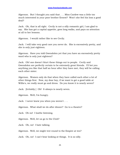Algernon. But I thought you said that . . . Miss Cardew was a little too much interested in your poor brother Ernest? Won't she feel his loss a good deal?

Jack. Oh, that is all right. Cecily is not a silly romantic girl, I am glad to say. She has got a capital appetite, goes long walks, and pays no attention at all to her lessons.

Algernon. I would rather like to see Cecily.

Jack. I will take very good care you never do. She is excessively pretty, and she is only just eighteen.

Algernon. Have you told Gwendolen yet that you have an excessively pretty ward who is only just eighteen?

Jack. Oh! one doesn't blurt these things out to people. Cecily and Gwendolen are perfectly certain to be extremely great friends. I'll bet you anything you like that half an hour after they have met, they will be calling each other sister.

Algernon. Women only do that when they have called each other a lot of other things first. Now, my dear boy, if we want to get a good table at Willis's, we really must go and dress. Do you know it is nearly seven?

Jack. [Irritably.] Oh! It always is nearly seven.

Algernon. Well, I'm hungry.

Jack. I never knew you when you weren't . . .

Algernon. What shall we do after dinner? Go to a theatre?

Jack. Oh no! I loathe listening.

Algernon. Well, let us go to the Club?

Jack. Oh, no! I hate talking.

Algernon. Well, we might trot round to the Empire at ten?

Jack. Oh, no! I can't bear looking at things. It is so silly.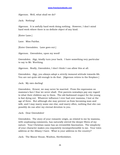Algernon. Well, what shall we do?

Jack. Nothing!

Algernon. It is awfully hard work doing nothing. However, I don't mind hard work where there is no definite object of any kind.

[Enter Lane.]

Lane. Miss Fairfax.

[Enter Gwendolen. Lane goes out.]

Algernon. Gwendolen, upon my word!

Gwendolen. Algy, kindly turn your back. I have something very particular to say to Mr. Worthing.

Algernon. Really, Gwendolen, I don't think I can allow this at all.

Gwendolen. Algy, you always adopt a strictly immoral attitude towards life. You are not quite old enough to do that. [Algernon retires to the fireplace.]

Jack. My own darling!

Gwendolen. Ernest, we may never be married. From the expression on mamma's face I fear we never shall. Few parents nowadays pay any regard to what their children say to them. The old-fashioned respect for the young is fast dying out. Whatever influence I ever had over mamma, I lost at the age of three. But although she may prevent us from becoming man and wife, and I may marry some one else, and marry often, nothing that she can possibly do can alter my eternal devotion to you.

Jack. Dear Gwendolen!

Gwendolen. The story of your romantic origin, as related to me by mamma, with unpleasing comments, has naturally stirred the deeper fibres of my nature. Your Christian name has an irresistible fascination. The simplicity of your character makes you exquisitely incomprehensible to me. Your town address at the Albany I have. What is your address in the country?

Jack. The Manor House, Woolton, Hertfordshire.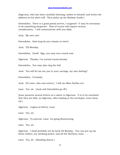[Algernon, who has been carefully listening, smiles to himself, and writes the address on his shirt-cuff. Then picks up the Railway Guide.]

Gwendolen. There is a good postal service, I suppose? It may be necessary to do something desperate. That of course will require serious consideration. I will communicate with you daily.

Jack. My own one!

Gwendolen. How long do you remain in town?

Jack. Till Monday.

Gwendolen. Good! Algy, you may turn round now.

Algernon. Thanks, I've turned round already.

Gwendolen. You may also ring the bell.

Jack. You will let me see you to your carriage, my own darling?

Gwendolen. Certainly.

Jack. [To Lane, who now enters.] I will see Miss Fairfax out.

Lane. Yes, sir. [Jack and Gwendolen go off.]

[Lane presents several letters on a salver to Algernon. It is to be surmised that they are bills, as Algernon, after looking at the envelopes, tears them up.]

Algernon. A glass of sherry, Lane.

Lane. Yes, sir.

Algernon. To-morrow, Lane, I'm going Bunburying.

Lane. Yes, sir.

Algernon. I shall probably not be back till Monday. You can put up my dress clothes, my smoking jacket, and all the Bunbury suits . . .

Lane. Yes, sir. [Handing sherry.]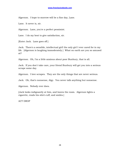Algernon. I hope to-morrow will be a fine day, Lane.

Lane. It never is, sir.

Algernon. Lane, you're a perfect pessimist.

Lane. I do my best to give satisfaction, sir.

[Enter Jack. Lane goes off.]

Jack. There's a sensible, intellectual girl! the only girl I ever cared for in my life. [Algernon is laughing immoderately.] What on earth are you so amused at?

Algernon. Oh, I'm a little anxious about poor Bunbury, that is all.

Jack. If you don't take care, your friend Bunbury will get you into a serious scrape some day.

Algernon. I love scrapes. They are the only things that are never serious.

Jack. Oh, that's nonsense, Algy. You never talk anything but nonsense.

Algernon. Nobody ever does.

[Jack looks indignantly at him, and leaves the room. Algernon lights a cigarette, reads his shirt-cuff, and smiles.]

ACT DROP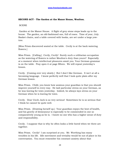#### **SECOND ACT - The Garden at the Manor House, Woolton.**

#### **SCENE**

 Garden at the Manor House. A flight of grey stone steps leads up to the house. The garden, an old-fashioned one, full of roses. Time of year, July. Basket chairs, and a table covered with books, are set under a large yewtree.

[Miss Prism discovered seated at the table. Cecily is at the back watering flowers.]

Miss Prism. [Calling.] Cecily, Cecily! Surely such a utilitarian occupation as the watering of flowers is rather Moulton's duty than yours? Especially at a moment when intellectual pleasures await you. Your German grammar is on the table. Pray open it at page fifteen. We will repeat yesterday's lesson.

Cecily. [Coming over very slowly.] But I don't like German. It isn't at all a becoming language. I know perfectly well that I look quite plain after my German lesson.

Miss Prism. Child, you know how anxious your guardian is that you should improve yourself in every way. He laid particular stress on your German, as he was leaving for town yesterday. Indeed, he always lays stress on your German when he is leaving for town.

Cecily. Dear Uncle Jack is so very serious! Sometimes he is so serious that I think he cannot be quite well.

Miss Prism. [Drawing herself up.] Your guardian enjoys the best of health, and his gravity of demeanour is especially to be commended in one so comparatively young as he is. I know no one who has a higher sense of duty and responsibility.

Cecily. I suppose that is why he often looks a little bored when we three are together.

Miss Prism. Cecily! I am surprised at you. Mr. Worthing has many troubles in his life. Idle merriment and triviality would be out of place in his conversation. You must remember his constant anxiety about that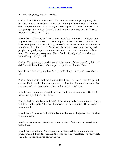unfortunate young man his brother.

Cecily. I wish Uncle Jack would allow that unfortunate young man, his brother, to come down here sometimes. We might have a good influence over him, Miss Prism. I am sure you certainly would. You know German, and geology, and things of that kind influence a man very much. [Cecily begins to write in her diary.]

Miss Prism. [Shaking her head.] I do not think that even I could produce any effect on a character that according to his own brother's admission is irretrievably weak and vacillating. Indeed I am not sure that I would desire to reclaim him. I am not in favour of this modern mania for turning bad people into good people at a moment's notice. As a man sows so let him reap. You must put away your diary, Cecily. I really don't see why you should keep a diary at all.

Cecily. I keep a diary in order to enter the wonderful secrets of my life. If I didn't write them down, I should probably forget all about them.

Miss Prism. Memory, my dear Cecily, is the diary that we all carry about with us.

Cecily. Yes, but it usually chronicles the things that have never happened, and couldn't possibly have happened. I believe that Memory is responsible for nearly all the three-volume novels that Mudie sends us.

Miss Prism. Do not speak slightingly of the three-volume novel, Cecily. I wrote one myself in earlier days.

Cecily. Did you really, Miss Prism? How wonderfully clever you are! I hope it did not end happily? I don't like novels that end happily. They depress me so much.

Miss Prism. The good ended happily, and the bad unhappily. That is what Fiction means.

Cecily. I suppose so. But it seems very unfair. And was your novel ever published?

Miss Prism. Alas! no. The manuscript unfortunately was abandoned. [Cecily starts.] I use the word in the sense of lost or mislaid. To your work, child, these speculations are profitless.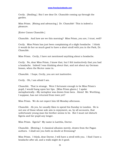Cecily. [Smiling.] But I see dear Dr. Chasuble coming up through the garden.

Miss Prism. [Rising and advancing.] Dr. Chasuble! This is indeed a pleasure.

[Enter Canon Chasuble.]

Chasuble. And how are we this morning? Miss Prism, you are, I trust, well?

Cecily. Miss Prism has just been complaining of a slight headache. I think it would do her so much good to have a short stroll with you in the Park, Dr. Chasuble.

Miss Prism. Cecily, I have not mentioned anything about a headache.

Cecily. No, dear Miss Prism, I know that, but I felt instinctively that you had a headache. Indeed I was thinking about that, and not about my German lesson, when the Rector came in.

Chasuble. I hope, Cecily, you are not inattentive.

Cecily. Oh, I am afraid I am.

Chasuble. That is strange. Were I fortunate enough to be Miss Prism's pupil, I would hang upon her lips. [Miss Prism glares.] I spoke metaphorically.--My metaphor was drawn from bees. Ahem! Mr. Worthing, I suppose, has not returned from town yet?

Miss Prism. We do not expect him till Monday afternoon.

Chasuble. Ah yes, he usually likes to spend his Sunday in London. He is not one of those whose sole aim is enjoyment, as, by all accounts, that unfortunate young man his brother seems to be. But I must not disturb Egeria and her pupil any longer.

Miss Prism. Egeria? My name is Laetitia, Doctor.

Chasuble. [Bowing.] A classical allusion merely, drawn from the Pagan authors. I shall see you both no doubt at Evensong?

Miss Prism. I think, dear Doctor, I will have a stroll with you. I find I have a headache after all, and a walk might do it good.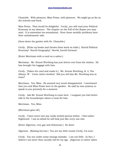Chasuble. With pleasure, Miss Prism, with pleasure. We might go as far as the schools and back.

Miss Prism. That would be delightful. Cecily, you will read your Political Economy in my absence. The chapter on the Fall of the Rupee you may omit. It is somewhat too sensational. Even these metallic problems have their melodramatic side.

[Goes down the garden with Dr. Chasuble.]

Cecily. [Picks up books and throws them back on table.] Horrid Political Economy! Horrid Geography! Horrid, horrid German!

[Enter Merriman with a card on a salver.]

Merriman. Mr. Ernest Worthing has just driven over from the station. He has brought his luggage with him.

Cecily. [Takes the card and reads it.] 'Mr. Ernest Worthing, B. 4, The Albany, W.' Uncle Jack's brother! Did you tell him Mr. Worthing was in town?

Merriman. Yes, Miss. He seemed very much disappointed. I mentioned that you and Miss Prism were in the garden. He said he was anxious to speak to you privately for a moment.

Cecily. Ask Mr. Ernest Worthing to come here. I suppose you had better talk to the housekeeper about a room for him.

Merriman. Yes, Miss.

[Merriman goes off.]

Cecily. I have never met any really wicked person before. I feel rather frightened. I am so afraid he will look just like every one else.

[Enter Algernon, very gay and debonnair.] He does!

Algernon. [Raising his hat.] You are my little cousin Cecily, I'm sure.

Cecily. You are under some strange mistake. I am not little. In fact, I believe I am more than usually tall for my age. [Algernon is rather taken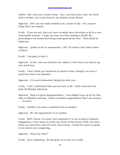aback.] But I am your cousin Cecily. You, I see from your card, are Uncle Jack's brother, my cousin Ernest, my wicked cousin Ernest.

Algernon. Oh! I am not really wicked at all, cousin Cecily. You mustn't think that I am wicked.

Cecily. If you are not, then you have certainly been deceiving us all in a very inexcusable manner. I hope you have not been leading a double life, pretending to be wicked and being really good all the time. That would be hypocrisy.

Algernon. [Looks at her in amazement.] Oh! Of course I have been rather reckless.

Cecily. I am glad to hear it.

Algernon. In fact, now you mention the subject, I have been very bad in my own small way.

Cecily. I don't think you should be so proud of that, though I am sure it must have been very pleasant.

Algernon. It is much pleasanter being here with you.

Cecily. I can't understand how you are here at all. Uncle Jack won't be back till Monday afternoon.

Algernon. That is a great disappointment. I am obliged to go up by the first train on Monday morning. I have a business appointment that I am anxious . . . to miss?

Cecily. Couldn't you miss it anywhere but in London?

Algernon. No: the appointment is in London.

Cecily. Well, I know, of course, how important it is not to keep a business engagement, if one wants to retain any sense of the beauty of life, but still I think you had better wait till Uncle Jack arrives. I know he wants to speak to you about your emigrating.

Algernon. About my what?

Cecily. Your emigrating. He has gone up to buy your outfit.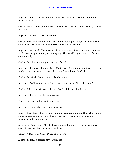Algernon. I certainly wouldn't let Jack buy my outfit. He has no taste in neckties at all.

Cecily. I don't think you will require neckties. Uncle Jack is sending you to Australia.

Algernon. Australia! I'd sooner die.

Cecily. Well, he said at dinner on Wednesday night, that you would have to choose between this world, the next world, and Australia.

Algernon. Oh, well! The accounts I have received of Australia and the next world, are not particularly encouraging. This world is good enough for me, cousin Cecily.

Cecily. Yes, but are you good enough for it?

Algernon. I'm afraid I'm not that. That is why I want you to reform me. You might make that your mission, if you don't mind, cousin Cecily.

Cecily. I'm afraid I've no time, this afternoon.

Algernon. Well, would you mind my reforming myself this afternoon?

Cecily. It is rather Quixotic of you. But I think you should try.

Algernon. I will. I feel better already.

Cecily. You are looking a little worse.

Algernon. That is because I am hungry.

Cecily. How thoughtless of me. I should have remembered that when one is going to lead an entirely new life, one requires regular and wholesome meals. Won't you come in?

Algernon. Thank you. Might I have a buttonhole first? I never have any appetite unless I have a buttonhole first.

Cecily. A Marechal Niel? [Picks up scissors.]

Algernon. No, I'd sooner have a pink rose.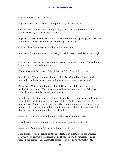Cecily. Why? [Cuts a flower.]

Algernon. Because you are like a pink rose, Cousin Cecily.

Cecily. I don't think it can be right for you to talk to me like that. Miss Prism never says such things to me.

Algernon. Then Miss Prism is a short-sighted old lady. [Cecily puts the rose in his buttonhole.] You are the prettiest girl I ever saw.

Cecily. Miss Prism says that all good looks are a snare.

Algernon. They are a snare that every sensible man would like to be caught in.

Cecily. Oh, I don't think I would care to catch a sensible man. I shouldn't know what to talk to him about.

[They pass into the house. Miss Prism and Dr. Chasuble return.]

Miss Prism. You are too much alone, dear Dr. Chasuble. You should get married. A misanthrope I can understand--a womanthrope, never!

Chasuble. [With a scholar's shudder.] Believe me, I do not deserve so neologistic a phrase. The precept as well as the practice of the Primitive Church was distinctly against matrimony.

Miss Prism. [Sententiously.] That is obviously the reason why the Primitive Church has not lasted up to the present day. And you do not seem to realise, dear Doctor, that by persistently remaining single, a man converts himself into a permanent public temptation. Men should be more careful; this very celibacy leads weaker vessels astray.

Chasuble. But is a man not equally attractive when married?

Miss Prism. No married man is ever attractive except to his wife.

Chasuble. And often, I've been told, not even to her.

Miss Prism. That depends on the intellectual sympathies of the woman. Maturity can always be depended on. Ripeness can be trusted. Young women are green. [Dr. Chasuble starts.] I spoke horticulturally. My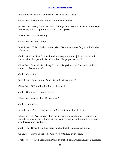metaphor was drawn from fruits. But where is Cecily?

Chasuble. Perhaps she followed us to the schools.

[Enter Jack slowly from the back of the garden. He is dressed in the deepest mourning, with crape hatband and black gloves.]

Miss Prism. Mr. Worthing!

Chasuble. Mr. Worthing?

Miss Prism. This is indeed a surprise. We did not look for you till Monday afternoon.

Jack. [Shakes Miss Prism's hand in a tragic manner.] I have returned sooner than I expected. Dr. Chasuble, I hope you are well?

Chasuble. Dear Mr. Worthing, I trust this garb of woe does not betoken some terrible calamity?

Jack. My brother.

Miss Prism. More shameful debts and extravagance?

Chasuble. Still leading his life of pleasure?

Jack. [Shaking his head.] Dead!

Chasuble. Your brother Ernest dead?

Jack. Quite dead.

Miss Prism. What a lesson for him! I trust he will profit by it.

Chasuble. Mr. Worthing, I offer you my sincere condolence. You have at least the consolation of knowing that you were always the most generous and forgiving of brothers.

Jack. Poor Ernest! He had many faults, but it is a sad, sad blow.

Chasuble. Very sad indeed. Were you with him at the end?

Jack. No. He died abroad; in Paris, in fact. I had a telegram last night from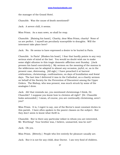the manager of the Grand Hotel.

Chasuble. Was the cause of death mentioned?

Jack. A severe chill, it seems.

Miss Prism. As a man sows, so shall he reap.

Chasuble. [Raising his hand.] Charity, dear Miss Prism, charity! None of us are perfect. I myself am peculiarly susceptible to draughts. Will the interment take place here?

Jack. No. He seems to have expressed a desire to be buried in Paris.

Chasuble. In Paris! [Shakes his head.] I fear that hardly points to any very serious state of mind at the last. You would no doubt wish me to make some slight allusion to this tragic domestic affliction next Sunday. [Jack presses his hand convulsively.] My sermon on the meaning of the manna in the wilderness can be adapted to almost any occasion, joyful, or, as in the present case, distressing. [All sigh.] I have preached it at harvest celebrations, christenings, confirmations, on days of humiliation and festal days. The last time I delivered it was in the Cathedral, as a charity sermon on behalf of the Society for the Prevention of Discontent among the Upper Orders. The Bishop, who was present, was much struck by some of the analogies I drew.

Jack. Ah! that reminds me, you mentioned christenings I think, Dr. Chasuble? I suppose you know how to christen all right? [Dr. Chasuble looks astounded.] I mean, of course, you are continually christening, aren't you?

Miss Prism. It is, I regret to say, one of the Rector's most constant duties in this parish. I have often spoken to the poorer classes on the subject. But they don't seem to know what thrift is.

Chasuble. But is there any particular infant in whom you are interested, Mr. Worthing? Your brother was, I believe, unmarried, was he not?

Jack. Oh yes.

Miss Prism. [Bitterly.] People who live entirely for pleasure usually are.

Jack. But it is not for any child, dear Doctor. I am very fond of children.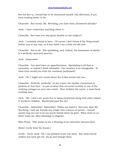No! the fact is, I would like to be christened myself, this afternoon, if you have nothing better to do.

Chasuble. But surely, Mr. Worthing, you have been christened already?

Jack. I don't remember anything about it.

Chasuble. But have you any grave doubts on the subject?

Jack. I certainly intend to have. Of course I don't know if the thing would bother you in any way, or if you think I am a little too old now.

Chasuble. Not at all. The sprinkling, and, indeed, the immersion of adults is a perfectly canonical practice.

Jack. Immersion!

Chasuble. You need have no apprehensions. Sprinkling is all that is necessary, or indeed I think advisable. Our weather is so changeable. At what hour would you wish the ceremony performed?

Jack. Oh, I might trot round about five if that would suit you.

Chasuble. Perfectly, perfectly! In fact I have two similar ceremonies to perform at that time. A case of twins that occurred recently in one of the outlying cottages on your own estate. Poor Jenkins the carter, a most hardworking man.

Jack. Oh! I don't see much fun in being christened along with other babies. It would be childish. Would half-past five do?

Chasuble. Admirably! Admirably! [Takes out watch.] And now, dear Mr. Worthing, I will not intrude any longer into a house of sorrow. I would merely beg you not to be too much bowed down by grief. What seem to us bitter trials are often blessings in disguise.

Miss Prism. This seems to me a blessing of an extremely obvious kind.

[Enter Cecily from the house.]

Cecily. Uncle Jack! Oh, I am pleased to see you back. But what horrid clothes you have got on! Do go and change them.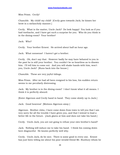Miss Prism. Cecily!

Chasuble. My child! my child! [Cecily goes towards Jack; he kisses her brow in a melancholy manner.]

Cecily. What is the matter, Uncle Jack? Do look happy! You look as if you had toothache, and I have got such a surprise for you. Who do you think is in the dining-room? Your brother!

Jack. Who?

Cecily. Your brother Ernest. He arrived about half an hour ago.

Jack. What nonsense! I haven't got a brother.

Cecily. Oh, don't say that. However badly he may have behaved to you in the past he is still your brother. You couldn't be so heartless as to disown him. I'll tell him to come out. And you will shake hands with him, won't you, Uncle Jack? [Runs back into the house.]

Chasuble. These are very joyful tidings.

Miss Prism. After we had all been resigned to his loss, his sudden return seems to me peculiarly distressing.

Jack. My brother is in the dining-room? I don't know what it all means. I think it is perfectly absurd.

[Enter Algernon and Cecily hand in hand. They come slowly up to Jack.]

Jack. Good heavens! [Motions Algernon away.]

Algernon. Brother John, I have come down from town to tell you that I am very sorry for all the trouble I have given you, and that I intend to lead a better life in the future. [Jack glares at him and does not take his hand.]

Cecily. Uncle Jack, you are not going to refuse your own brother's hand?

Jack. Nothing will induce me to take his hand. I think his coming down here disgraceful. He knows perfectly well why.

Cecily. Uncle Jack, do be nice. There is some good in every one. Ernest has just been telling me about his poor invalid friend Mr. Bunbury whom he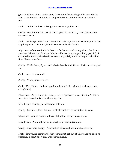goes to visit so often. And surely there must be much good in one who is kind to an invalid, and leaves the pleasures of London to sit by a bed of pain.

Jack. Oh! he has been talking about Bunbury, has he?

Cecily. Yes, he has told me all about poor Mr. Bunbury, and his terrible state of health.

Jack. Bunbury! Well, I won't have him talk to you about Bunbury or about anything else. It is enough to drive one perfectly frantic.

Algernon. Of course I admit that the faults were all on my side. But I must say that I think that Brother John's coldness to me is peculiarly painful. I expected a more enthusiastic welcome, especially considering it is the first time I have come here.

Cecily. Uncle Jack, if you don't shake hands with Ernest I will never forgive you.

Jack. Never forgive me?

Cecily. Never, never, never!

Jack. Well, this is the last time I shall ever do it. [Shakes with Algernon and glares.]

Chasuble. It's pleasant, is it not, to see so perfect a reconciliation? I think we might leave the two brothers together.

Miss Prism. Cecily, you will come with us.

Cecily. Certainly, Miss Prism. My little task of reconciliation is over.

Chasuble. You have done a beautiful action to-day, dear child.

Miss Prism. We must not be premature in our judgments.

Cecily. I feel very happy. [They all go off except Jack and Algernon.]

Jack. You young scoundrel, Algy, you must get out of this place as soon as possible. I don't allow any Bunburying here.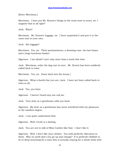[Enter Merriman.]

Merriman. I have put Mr. Ernest's things in the room next to yours, sir. I suppose that is all right?

Jack. What?

Merriman. Mr. Ernest's luggage, sir. I have unpacked it and put it in the room next to your own.

Jack. His luggage?

Merriman. Yes, sir. Three portmanteaus, a dressing-case, two hat-boxes, and a large luncheon-basket.

Algernon. I am afraid I can't stay more than a week this time.

Jack. Merriman, order the dog-cart at once. Mr. Ernest has been suddenly called back to town.

Merriman. Yes, sir. [Goes back into the house.]

Algernon. What a fearful liar you are, Jack. I have not been called back to town at all.

Jack. Yes, you have.

Algernon. I haven't heard any one call me.

Jack. Your duty as a gentleman calls you back.

Algernon. My duty as a gentleman has never interfered with my pleasures in the smallest degree.

Jack. I can quite understand that.

Algernon. Well, Cecily is a darling.

Jack. You are not to talk of Miss Cardew like that. I don't like it.

Algernon. Well, I don't like your clothes. You look perfectly ridiculous in them. Why on earth don't you go up and change? It is perfectly childish to be in deep mourning for a man who is actually staying for a whole week with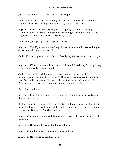you in your house as a guest. I call it grotesque.

Jack. You are certainly not staying with me for a whole week as a guest or anything else. You have got to leave . . . by the four-five train.

Algernon. I certainly won't leave you so long as you are in mourning. It would be most unfriendly. If I were in mourning you would stay with me, I suppose. I should think it very unkind if you didn't.

Jack. Well, will you go if I change my clothes?

Algernon. Yes, if you are not too long. I never saw anybody take so long to dress, and with such little result.

Jack. Well, at any rate, that is better than being always over-dressed as you are.

Algernon. If I am occasionally a little over-dressed, I make up for it by being always immensely over-educated.

Jack. Your vanity is ridiculous, your conduct an outrage, and your presence in my garden utterly absurd. However, you have got to catch the four-five, and I hope you will have a pleasant journey back to town. This Bunburying, as you call it, has not been a great success for you.

[Goes into the house.]

Algernon. I think it has been a great success. I'm in love with Cecily, and that is everything.

[Enter Cecily at the back of the garden. She picks up the can and begins to water the flowers.] But I must see her before I go, and make arrangements for another Bunbury. Ah, there she is.

Cecily. Oh, I merely came back to water the roses. I thought you were with Uncle Jack.

Algernon. He's gone to order the dog-cart for me.

Cecily. Oh, is he going to take you for a nice drive?

Algernon. He's going to send me away.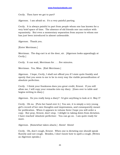Cecily. Then have we got to part?

Algernon. I am afraid so. It's a very painful parting.

Cecily. It is always painful to part from people whom one has known for a very brief space of time. The absence of old friends one can endure with equanimity. But even a momentary separation from anyone to whom one has just been introduced is almost unbearable.

Algernon. Thank you.

[Enter Merriman.]

Merriman. The dog-cart is at the door, sir. [Algernon looks appealingly at Cecily.]

Cecily. It can wait, Merriman for . . . five minutes.

Merriman. Yes, Miss. [Exit Merriman.]

Algernon. I hope, Cecily, I shall not offend you if I state quite frankly and openly that you seem to me to be in every way the visible personification of absolute perfection.

Cecily. I think your frankness does you great credit, Ernest. If you will allow me, I will copy your remarks into my diary. [Goes over to table and begins writing in diary.]

Algernon. Do you really keep a diary? I'd give anything to look at it. May I?

Cecily. Oh no. [Puts her hand over it.] You see, it is simply a very young girl's record of her own thoughts and impressions, and consequently meant for publication. When it appears in volume form I hope you will order a copy. But pray, Ernest, don't stop. I delight in taking down from dictation. I have reached 'absolute perfection'. You can go on. I am quite ready for more.

Algernon. [Somewhat taken aback.] Ahem! Ahem!

Cecily. Oh, don't cough, Ernest. When one is dictating one should speak fluently and not cough. Besides, I don't know how to spell a cough. [Writes as Algernon speaks.]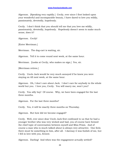Algernon. [Speaking very rapidly.] Cecily, ever since I first looked upon your wonderful and incomparable beauty, I have dared to love you wildly, passionately, devotedly, hopelessly.

Cecily. I don't think that you should tell me that you love me wildly, passionately, devotedly, hopelessly. Hopelessly doesn't seem to make much sense, does it?

Algernon. Cecily!

[Enter Merriman.]

Merriman. The dog-cart is waiting, sir.

Algernon. Tell it to come round next week, at the same hour.

Merriman. [Looks at Cecily, who makes no sign.] Yes, sir.

[Merriman retires.]

Cecily. Uncle Jack would be very much annoyed if he knew you were staying on till next week, at the same hour.

Algernon. Oh, I don't care about Jack. I don't care for anybody in the whole world but you. I love you, Cecily. You will marry me, won't you?

Cecily. You silly boy! Of course. Why, we have been engaged for the last three months.

Algernon. For the last three months?

Cecily. Yes, it will be exactly three months on Thursday.

Algernon. But how did we become engaged?

Cecily. Well, ever since dear Uncle Jack first confessed to us that he had a younger brother who was very wicked and bad, you of course have formed the chief topic of conversation between myself and Miss Prism. And of course a man who is much talked about is always very attractive. One feels there must be something in him, after all. I daresay it was foolish of me, but I fell in love with you, Ernest.

Algernon. Darling! And when was the engagement actually settled?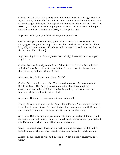Cecily. On the 14th of February last. Worn out by your entire ignorance of my existence, I determined to end the matter one way or the other, and after a long struggle with myself I accepted you under this dear old tree here. The next day I bought this little ring in your name, and this is the little bangle with the true lover's knot I promised you always to wear.

Algernon. Did I give you this? It's very pretty, isn't it?

Cecily. Yes, you've wonderfully good taste, Ernest. It's the excuse I've always given for your leading such a bad life. And this is the box in which I keep all your dear letters. [Kneels at table, opens box, and produces letters tied up with blue ribbon.]

Algernon. My letters! But, my own sweet Cecily, I have never written you any letters.

Cecily. You need hardly remind me of that, Ernest. I remember only too well that I was forced to write your letters for you. I wrote always three times a week, and sometimes oftener.

Algernon. Oh, do let me read them, Cecily?

Cecily. Oh, I couldn't possibly. They would make you far too conceited. [Replaces box.] The three you wrote me after I had broken off the engagement are so beautiful, and so badly spelled, that even now I can hardly read them without crying a little.

Algernon. But was our engagement ever broken off?

Cecily. Of course it was. On the 22nd of last March. You can see the entry if you like. [Shows diary.] 'To-day I broke off my engagement with Ernest. I feel it is better to do so. The weather still continues charming.'

Algernon. But why on earth did you break it off? What had I done? I had done nothing at all. Cecily, I am very much hurt indeed to hear you broke it off. Particularly when the weather was so charming.

Cecily. It would hardly have been a really serious engagement if it hadn't been broken off at least once. But I forgave you before the week was out.

Algernon. [Crossing to her, and kneeling.] What a perfect angel you are, Cecily.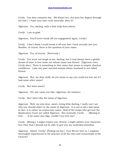Cecily. You dear romantic boy. [He kisses her, she puts her fingers through his hair.] I hope your hair curls naturally, does it?

Algernon. Yes, darling, with a little help from others.

Cecily. I am so glad.

Algernon. You'll never break off our engagement again, Cecily?

Cecily. I don't think I could break it off now that I have actually met you. Besides, of course, there is the question of your name.

Algernon. Yes, of course. [Nervously.]

Cecily. You must not laugh at me, darling, but it had always been a girlish dream of mine to love some one whose name was Ernest. [Algernon rises, Cecily also.] There is something in that name that seems to inspire absolute confidence. I pity any poor married woman whose husband is not called Ernest.

Algernon. But, my dear child, do you mean to say you could not love me if I had some other name?

Cecily. But what name?

Algernon. Oh, any name you like--Algernon--for instance . . .

Cecily. But I don't like the name of Algernon.

Algernon. Well, my own dear, sweet, loving little darling, I really can't see why you should object to the name of Algernon. It is not at all a bad name. In fact, it is rather an aristocratic name. Half of the chaps who get into the Bankruptcy Court are called Algernon. But seriously, Cecily . . . [Moving to her] . . . if my name was Algy, couldn't you love me?

Cecily. [Rising.] I might respect you, Ernest, I might admire your character, but I fear that I should not be able to give you my undivided attention.

Algernon. Ahem! Cecily! [Picking up hat.] Your Rector here is, I suppose, thoroughly experienced in the practice of all the rites and ceremonials of the Church?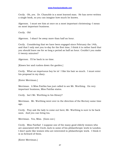Cecily. Oh, yes. Dr. Chasuble is a most learned man. He has never written a single book, so you can imagine how much he knows.

Algernon. I must see him at once on a most important christening--I mean on most important business.

Cecily. Oh!

Algernon. I shan't be away more than half an hour.

Cecily. Considering that we have been engaged since February the 14th, and that I only met you to-day for the first time, I think it is rather hard that you should leave me for so long a period as half an hour. Couldn't you make it twenty minutes?

Algernon. I'll be back in no time.

[Kisses her and rushes down the garden.]

Cecily. What an impetuous boy he is! I like his hair so much. I must enter his proposal in my diary.

[Enter Merriman.]

Merriman. A Miss Fairfax has just called to see Mr. Worthing. On very important business, Miss Fairfax states.

Cecily. Isn't Mr. Worthing in his library?

Merriman. Mr. Worthing went over in the direction of the Rectory some time ago.

Cecily. Pray ask the lady to come out here; Mr. Worthing is sure to be back soon. And you can bring tea.

Merriman. Yes, Miss. [Goes out.]

Cecily. Miss Fairfax! I suppose one of the many good elderly women who are associated with Uncle Jack in some of his philanthropic work in London. I don't quite like women who are interested in philanthropic work. I think it is so forward of them.

[Enter Merriman.]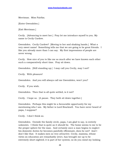Merriman. Miss Fairfax.

[Enter Gwendolen.]

[Exit Merriman.]

Cecily. [Advancing to meet her.] Pray let me introduce myself to you. My name is Cecily Cardew.

Gwendolen. Cecily Cardew? [Moving to her and shaking hands.] What a very sweet name! Something tells me that we are going to be great friends. I like you already more than I can say. My first impressions of people are never wrong.

Cecily. How nice of you to like me so much after we have known each other such a comparatively short time. Pray sit down.

Gwendolen. [Still standing up.] I may call you Cecily, may I not?

Cecily. With pleasure!

Gwendolen. And you will always call me Gwendolen, won't you?

Cecily. If you wish.

Gwendolen. Then that is all quite settled, is it not?

Cecily. I hope so. [A pause. They both sit down together.]

Gwendolen. Perhaps this might be a favourable opportunity for my mentioning who I am. My father is Lord Bracknell. You have never heard of papa, I suppose?

Cecily. I don't think so.

Gwendolen. Outside the family circle, papa, I am glad to say, is entirely unknown. I think that is quite as it should be. The home seems to me to be the proper sphere for the man. And certainly once a man begins to neglect his domestic duties he becomes painfully effeminate, does he not? And I don't like that. It makes men so very attractive. Cecily, mamma, whose views on education are remarkably strict, has brought me up to be extremely short-sighted; it is part of her system; so do you mind my looking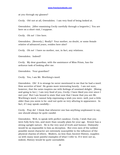at you through my glasses?

Cecily. Oh! not at all, Gwendolen. I am very fond of being looked at.

Gwendolen. [After examining Cecily carefully through a lorgnette.] You are here on a short visit, I suppose.

Cecily. Oh no! I live here.

Gwendolen. [Severely.] Really? Your mother, no doubt, or some female relative of advanced years, resides here also?

Cecily. Oh no! I have no mother, nor, in fact, any relations.

Gwendolen. Indeed?

Cecily. My dear guardian, with the assistance of Miss Prism, has the arduous task of looking after me.

Gwendolen. Your guardian?

Cecily. Yes, I am Mr. Worthing's ward.

Gwendolen. Oh! It is strange he never mentioned to me that he had a ward. How secretive of him! He grows more interesting hourly. I am not sure, however, that the news inspires me with feelings of unmixed delight. [Rising and going to her.] I am very fond of you, Cecily; I have liked you ever since I met you! But I am bound to state that now that I know that you are Mr. Worthing's ward, I cannot help expressing a wish you were--well, just a little older than you seem to be--and not quite so very alluring in appearance. In fact, if I may speak candidly--

Cecily. Pray do! I think that whenever one has anything unpleasant to say, one should always be quite candid.

Gwendolen. Well, to speak with perfect candour, Cecily, I wish that you were fully forty-two, and more than usually plain for your age. Ernest has a strong upright nature. He is the very soul of truth and honour. Disloyalty would be as impossible to him as deception. But even men of the noblest possible moral character are extremely susceptible to the influence of the physical charms of others. Modern, no less than Ancient History, supplies us with many most painful examples of what I refer to. If it were not so, indeed, History would be quite unreadable.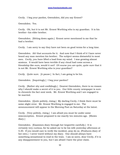Cecily. I beg your pardon, Gwendolen, did you say Ernest?

Gwendolen. Yes.

Cecily. Oh, but it is not Mr. Ernest Worthing who is my guardian. It is his brother--his elder brother.

Gwendolen. [Sitting down again.] Ernest never mentioned to me that he had a brother.

Cecily. I am sorry to say they have not been on good terms for a long time.

Gwendolen. Ah! that accounts for it. And now that I think of it I have never heard any man mention his brother. The subject seems distasteful to most men. Cecily, you have lifted a load from my mind. I was growing almost anxious. It would have been terrible if any cloud had come across a friendship like ours, would it not? Of course you are quite, quite sure that it is not Mr. Ernest Worthing who is your guardian?

Cecily. Quite sure. [A pause.] In fact, I am going to be his.

Gwendolen. [Inquiringly.] I beg your pardon?

Cecily. [Rather shy and confidingly.] Dearest Gwendolen, there is no reason why I should make a secret of it to you. Our little county newspaper is sure to chronicle the fact next week. Mr. Ernest Worthing and I are engaged to be married.

Gwendolen. [Quite politely, rising.] My darling Cecily, I think there must be some slight error. Mr. Ernest Worthing is engaged to me. The announcement will appear in the Morning Post on Saturday at the latest.

Cecily. [Very politely, rising.] I am afraid you must be under some misconception. Ernest proposed to me exactly ten minutes ago. [Shows diary.]

Gwendolen. [Examines diary through her lorgnettte carefully.] It is certainly very curious, for he asked me to be his wife yesterday afternoon at 5.30. If you would care to verify the incident, pray do so. [Produces diary of her own.] I never travel without my diary. One should always have something sensational to read in the train. I am so sorry, dear Cecily, if it is any disappointment to you, but I am afraid I have the prior claim.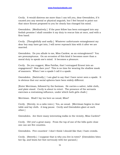Cecily. It would distress me more than I can tell you, dear Gwendolen, if it caused you any mental or physical anguish, but I feel bound to point out that since Ernest proposed to you he clearly has changed his mind.

Gwendolen. [Meditatively.] If the poor fellow has been entrapped into any foolish promise I shall consider it my duty to rescue him at once, and with a firm hand.

Cecily. [Thoughtfully and sadly.] Whatever unfortunate entanglement my dear boy may have got into, I will never reproach him with it after we are married.

Gwendolen. Do you allude to me, Miss Cardew, as an entanglement? You are presumptuous. On an occasion of this kind it becomes more than a moral duty to speak one's mind. It becomes a pleasure.

Cecily. Do you suggest, Miss Fairfax, that I entrapped Ernest into an engagement? How dare you? This is no time for wearing the shallow mask of manners. When I see a spade I call it a spade.

Gwendolen. [Satirically.] I am glad to say that I have never seen a spade. It is obvious that our social spheres have been widely different.

[Enter Merriman, followed by the footman. He carries a salver, table cloth, and plate stand. Cecily is about to retort. The presence of the servants exercises a restraining influence, under which both girls chafe.]

Merriman. Shall I lay tea here as usual, Miss?

Cecily. [Sternly, in a calm voice.] Yes, as usual. [Merriman begins to clear table and lay cloth. A long pause. Cecily and Gwendolen glare at each other.]

Gwendolen. Are there many interesting walks in the vicinity, Miss Cardew?

Cecily. Oh! yes! a great many. From the top of one of the hills quite close one can see five counties.

Gwendolen. Five counties! I don't think I should like that; I hate crowds.

Cecily. [Sweetly.] I suppose that is why you live in town? [Gwendolen bites her lip, and beats her foot nervously with her parasol.]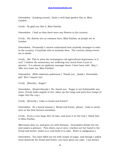Gwendolen. [Looking round.] Quite a well-kept garden this is, Miss Cardew.

Cecily. So glad you like it, Miss Fairfax.

Gwendolen. I had no idea there were any flowers in the country.

Cecily. Oh, flowers are as common here, Miss Fairfax, as people are in London.

Gwendolen. Personally I cannot understand how anybody manages to exist in the country, if anybody who is anybody does. The country always bores me to death.

Cecily. Ah! This is what the newspapers call agricultural depression, is it not? I believe the aristocracy are suffering very much from it just at present. It is almost an epidemic amongst them, I have been told. May I offer you some tea, Miss Fairfax?

Gwendolen. [With elaborate politeness.] Thank you. [Aside.] Detestable girl! But I require tea!

Cecily. [Sweetly.] Sugar?

Gwendolen. [Superciliously.] No, thank you. Sugar is not fashionable any more. [Cecily looks angrily at her, takes up the tongs and puts four lumps of sugar into the cup.]

Cecily. [Severely.] Cake or bread and butter?

Gwendolen. [In a bored manner.] Bread and butter, please. Cake is rarely seen at the best houses nowadays.

Cecily. [Cuts a very large slice of cake, and puts it on the tray.] Hand that to Miss Fairfax.

[Merriman does so, and goes out with footman. Gwendolen drinks the tea and makes a grimace. Puts down cup at once, reaches out her hand to the bread and butter, looks at it, and finds it is cake. Rises in indignation.]

Gwendolen. You have filled my tea with lumps of sugar, and though I asked most distinctly for bread and butter, you have given me cake. I am known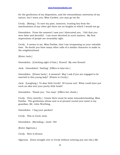for the gentleness of my disposition, and the extraordinary sweetness of my nature, but I warn you, Miss Cardew, you may go too far.

Cecily. [Rising.] To save my poor, innocent, trusting boy from the machinations of any other girl there are no lengths to which I would not go.

Gwendolen. From the moment I saw you I distrusted you. I felt that you were false and deceitful. I am never deceived in such matters. My first impressions of people are invariably right.

Cecily. It seems to me, Miss Fairfax, that I am trespassing on your valuable time. No doubt you have many other calls of a similar character to make in the neighbourhood.

[Enter Jack.]

Gwendolen. [Catching sight of him.] Ernest! My own Ernest!

Jack. Gwendolen! Darling! [Offers to kiss her.]

Gwendolen. [Draws back.] A moment! May I ask if you are engaged to be married to this young lady? [Points to Cecily.]

Jack. [Laughing.] To dear little Cecily! Of course not! What could have put such an idea into your pretty little head?

Gwendolen. Thank you. You may! [Offers her cheek.]

Cecily. [Very sweetly.] I knew there must be some misunderstanding, Miss Fairfax. The gentleman whose arm is at present round your waist is my guardian, Mr. John Worthing.

Gwendolen. I beg your pardon?

Cecily. This is Uncle Jack.

Gwendolen. [Receding.] Jack! Oh!

[Enter Algernon.]

Cecily. Here is Ernest.

Algernon. [Goes straight over to Cecily without noticing any one else.] My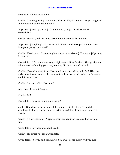own love! [Offers to kiss her.]

Cecily. [Drawing back.] A moment, Ernest! May I ask you--are you engaged to be married to this young lady?

Algernon. [Looking round.] To what young lady? Good heavens! Gwendolen!

Cecily. Yes! to good heavens, Gwendolen, I mean to Gwendolen.

Algernon. [Laughing.] Of course not! What could have put such an idea into your pretty little head?

Cecily. Thank you. [Presenting her cheek to be kissed.] You may. [Algernon kisses her.]

Gwendolen. I felt there was some slight error, Miss Cardew. The gentleman who is now embracing you is my cousin, Mr. Algernon Moncrieff.

Cecily. [Breaking away from Algernon.] Algernon Moncrieff! Oh! [The two girls move towards each other and put their arms round each other's waists as if for protection.]

Cecily. Are you called Algernon?

Algernon. I cannot deny it.

Cecily. Oh!

Gwendolen. Is your name really John?

Jack. [Standing rather proudly.] I could deny it if I liked. I could deny anything if I liked. But my name certainly is John. It has been John for years.

Cecily. [To Gwendolen.] A gross deception has been practised on both of us.

Gwendolen. My poor wounded Cecily!

Cecily. My sweet wronged Gwendolen!

Gwendolen. [Slowly and seriously.] You will call me sister, will you not?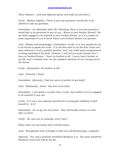[They embrace. Jack and Algernon groan and walk up and down.]

Cecily. [Rather brightly.] There is just one question I would like to be allowed to ask my guardian.

Gwendolen. An admirable idea! Mr. Worthing, there is just one question I would like to be permitted to put to you. Where is your brother Ernest? We are both engaged to be married to your brother Ernest, so it is a matter of some importance to us to know where your brother Ernest is at present.

Jack. [Slowly and hesitatingly.] Gwendolen--Cecily--it is very painful for me to be forced to speak the truth. It is the first time in my life that I have ever been reduced to such a painful position, and I am really quite inexperienced in doing anything of the kind. However, I will tell you quite frankly that I have no brother Ernest. I have no brother at all. I never had a brother in my life, and I certainly have not the smallest intention of ever having one in the future.

Cecily. [Surprised.] No brother at all?

Jack. [Cheerily.] None!

Gwendolen. [Severely.] Had you never a brother of any kind?

Jack. [Pleasantly.] Never. Not even of an kind.

Gwendolen. I am afraid it is quite clear, Cecily, that neither of us is engaged to be married to any one.

Cecily. It is not a very pleasant position for a young girl suddenly to find herself in. Is it?

Gwendolen. Let us go into the house. They will hardly venture to come after us there.

Cecily. No, men are so cowardly, aren't they?

[They retire into the house with scornful looks.]

Jack. This ghastly state of things is what you call Bunburying, I suppose?

Algernon. Yes, and a perfectly wonderful Bunbury it is. The most wonderful Bunbury I have ever had in my life.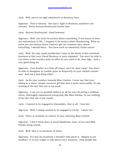Jack. Well, you've no right whatsoever to Bunbury here.

Algernon. That is absurd. One has a right to Bunbury anywhere one chooses. Every serious Bunburyist knows that.

Jack. Serious Bunburyist! Good heavens!

Algernon. Well, one must be serious about something, if one wants to have any amusement in life. I happen to be serious about Bunburying. What on earth you are serious about I haven't got the remotest idea. About everything, I should fancy. You have such an absolutely trivial nature.

Jack. Well, the only small satisfaction I have in the whole of this wretched business is that your friend Bunbury is quite exploded. You won't be able to run down to the country quite so often as you used to do, dear Algy. And a very good thing too.

Algernon. Your brother is a little off colour, isn't he, dear Jack? You won't be able to disappear to London quite so frequently as your wicked custom was. And not a bad thing either.

Jack. As for your conduct towards Miss Cardew, I must say that your taking in a sweet, simple, innocent girl like that is quite inexcusable. To say nothing of the fact that she is my ward.

Algernon. I can see no possible defence at all for your deceiving a brilliant, clever, thoroughly experienced young lady like Miss Fairfax. To say nothing of the fact that she is my cousin.

Jack. I wanted to be engaged to Gwendolen, that is all. I love her.

Algernon. Well, I simply wanted to be engaged to Cecily. I adore her.

Jack. There is certainly no chance of your marrying Miss Cardew.

Algernon. I don't think there is much likelihood, Jack, of you and Miss Fairfax being united.

Jack. Well, that is no business of yours.

Algernon. If it was my business, I wouldn't talk about it. [Begins to eat muffins.] It is very vulgar to talk about one's business. Only people like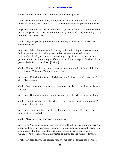stock-brokers do that, and then merely at dinner parties.

Jack. How can you sit there, calmly eating muffins when we are in this horrible trouble, I can't make out. You seem to me to be perfectly heartless.

Algernon. Well, I can't eat muffins in an agitated manner. The butter would probably get on my cuffs. One should always eat muffins quite calmly. It is the only way to eat them.

Jack. I say it's perfectly heartless your eating muffins at all, under the circumstances.

Algernon. When I am in trouble, eating is the only thing that consoles me. Indeed, when I am in really great trouble, as any one who knows me intimately will tell you, I refuse everything except food and drink. At the present moment I am eating muffins because I am unhappy. Besides, I am particularly fond of muffins. [Rising.]

Jack. [Rising.] Well, that is no reason why you should eat them all in that greedy way. [Takes muffins from Algernon.]

Algernon. [Offering tea-cake.] I wish you would have tea-cake instead. I don't like tea-cake.

Jack. Good heavens! I suppose a man may eat his own muffins in his own garden.

Algernon. But you have just said it was perfectly heartless to eat muffins.

Jack. I said it was perfectly heartless of you, under the circumstances. That is a very different thing.

Algernon. That may be. But the muffins are the same. [He seizes the muffin-dish from Jack.]

Jack. Algy, I wish to goodness you would go.

Algernon. You can't possibly ask me to go without having some dinner. It's absurd. I never go without my dinner. No one ever does, except vegetarians and people like that. Besides I have just made arrangements with Dr. Chasuble to be christened at a quarter to six under the name of Ernest.

Jack. My dear fellow, the sooner you give up that nonsense the better. I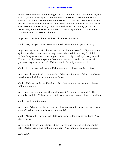made arrangements this morning with Dr. Chasuble to be christened myself at 5.30, and I naturally will take the name of Ernest. Gwendolen would wish it. We can't both be christened Ernest. It's absurd. Besides, I have a perfect right to be christened if I like. There is no evidence at all that I have ever been christened by anybody. I should think it extremely probable I never was, and so does Dr. Chasuble. It is entirely different in your case. You have been christened already.

Algernon. Yes, but I have not been christened for years.

Jack. Yes, but you have been christened. That is the important thing.

Algernon. Quite so. So I know my constitution can stand it. If you are not quite sure about your ever having been christened, I must say I think it rather dangerous your venturing on it now. It might make you very unwell. You can hardly have forgotten that some one very closely connected with you was very nearly carried off this week in Paris by a severe chill.

Jack. Yes, but you said yourself that a severe chill was not hereditary.

Algernon. It usen't to be, I know--but I daresay it is now. Science is always making wonderful improvements in things.

Jack. [Picking up the muffin-dish.] Oh, that is nonsense; you are always talking nonsense.

Algernon. Jack, you are at the muffins again! I wish you wouldn't. There are only two left. [Takes them.] I told you I was particularly fond of muffins.

Jack. But I hate tea-cake.

Algernon. Why on earth then do you allow tea-cake to be served up for your guests? What ideas you have of hospitality!

Jack. Algernon! I have already told you to go. I don't want you here. Why don't you go!

Algernon. I haven't quite finished my tea yet! and there is still one muffin left. [Jack groans, and sinks into a chair. Algernon still continues eating.]

ACT DROP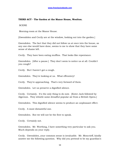## **THIRD ACT - The Garden at the Manor House, Woolton.**

**SCENE** 

Morning-room at the Manor House.

[Gwendolen and Cecily are at the window, looking out into the garden.]

Gwendolen. The fact that they did not follow us at once into the house, as any one else would have done, seems to me to show that they have some sense of shame left.

Cecily. They have been eating muffins. That looks like repentance.

Gwendolen. [After a pause.] They don't seem to notice us at all. Couldn't you cough?

Cecily. But I haven't got a cough.

Gwendolen. They're looking at us. What effrontery!

Cecily. They're approaching. That's very forward of them.

Gwendolen. Let us preserve a dignified silence.

Cecily. Certainly. It's the only thing to do now. [Enter Jack followed by Algernon. They whistle some dreadful popular air from a British Opera.]

Gwendolen. This dignified silence seems to produce an unpleasant effect.

Cecily. A most distasteful one.

Gwendolen. But we will not be the first to speak.

Cecily. Certainly not.

Gwendolen. Mr. Worthing, I have something very particular to ask you. Much depends on your reply.

Cecily. Gwendolen, your common sense is invaluable. Mr. Moncrieff, kindly answer me the following question. Why did you pretend to be my guardian's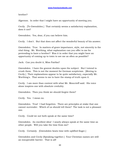brother?

Algernon. In order that I might have an opportunity of meeting you.

Cecily. [To Gwendolen.] That certainly seems a satisfactory explanation, does it not?

Gwendolen. Yes, dear, if you can believe him.

Cecily. I don't. But that does not affect the wonderful beauty of his answer.

Gwendolen. True. In matters of grave importance, style, not sincerity is the vital thing. Mr. Worthing, what explanation can you offer to me for pretending to have a brother? Was it in order that you might have an opportunity of coming up to town to see me as often as possible?

Jack. Can you doubt it, Miss Fairfax?

Gwendolen. I have the gravest doubts upon the subject. But I intend to crush them. This is not the moment for German scepticism. [Moving to Cecily.] Their explanations appear to be quite satisfactory, especially Mr. Worthing's. That seems to me to have the stamp of truth upon it.

Cecily. I am more than content with what Mr. Moncrieff said. His voice alone inspires one with absolute credulity.

Gwendolen. Then you think we should forgive them?

Cecily. Yes. I mean no.

Gwendolen. True! I had forgotten. There are principles at stake that one cannot surrender. Which of us should tell them? The task is not a pleasant one.

Cecily. Could we not both speak at the same time?

Gwendolen. An excellent idea! I nearly always speak at the same time as other people. Will you take the time from me?

Cecily. Certainly. [Gwendolen beats time with uplifted finger.]

Gwendolen and Cecily [Speaking together.] Your Christian names are still an insuperable barrier. That is all!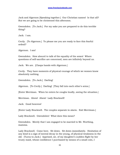Jack and Algernon [Speaking together.] Our Christian names! Is that all? But we are going to be christened this afternoon.

Gwendolen. [To Jack.] For my sake you are prepared to do this terrible thing?

Jack. I am.

Cecily. [To Algernon.] To please me you are ready to face this fearful ordeal?

Algernon. I am!

Gwendolen. How absurd to talk of the equality of the sexes! Where questions of self-sacrifice are concerned, men are infinitely beyond us.

Jack. We are. [Clasps hands with Algernon.]

Cecily. They have moments of physical courage of which we women know absolutely nothing.

Gwendolen. [To Jack.] Darling!

Algernon. [To Cecily.] Darling! [They fall into each other's arms.]

[Enter Merriman. When he enters he coughs loudly, seeing the situation.]

Merriman. Ahem! Ahem! Lady Bracknell!

Jack. Good heavens!

[Enter Lady Bracknell. The couples separate in alarm. Exit Merriman.]

Lady Bracknell. Gwendolen! What does this mean?

Gwendolen. Merely that I am engaged to be married to Mr. Worthing, mamma.

Lady Bracknell. Come here. Sit down. Sit down immediately. Hesitation of any kind is a sign of mental decay in the young, of physical weakness in the old. [Turns to Jack.] Apprised, sir, of my daughter's sudden flight by her trusty maid, whose confidence I purchased by means of a small coin, I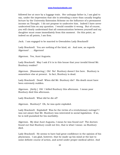followed her at once by a luggage train. Her unhappy father is, I am glad to say, under the impression that she is attending a more than usually lengthy lecture by the University Extension Scheme on the Influence of a permanent income on Thought. I do not propose to undeceive him. Indeed I have never undeceived him on any question. I would consider it wrong. But of course, you will clearly understand that all communication between yourself and my daughter must cease immediately from this moment. On this point, as indeed on all points, I am firm.

Jack. I am engaged to be married to Gwendolen Lady Bracknell!

Lady Bracknell. You are nothing of the kind, sir. And now, as regards Algernon! . . . Algernon!

Algernon. Yes, Aunt Augusta.

Lady Bracknell. May I ask if it is in this house that your invalid friend Mr. Bunbury resides?

Algernon. [Stammering.] Oh! No! Bunbury doesn't live here. Bunbury is somewhere else at present. In fact, Bunbury is dead.

Lady Bracknell. Dead! When did Mr. Bunbury die? His death must have been extremely sudden.

Algernon. [Airily.] Oh! I killed Bunbury this afternoon. I mean poor Bunbury died this afternoon.

Lady Bracknell. What did he die of?

Algernon. Bunbury? Oh, he was quite exploded.

Lady Bracknell. Exploded! Was he the victim of a revolutionary outrage? I was not aware that Mr. Bunbury was interested in social legislation. If so, he is well punished for his morbidity.

Algernon. My dear Aunt Augusta, I mean he was found out! The doctors found out that Bunbury could not live, that is what I mean--so Bunbury died.

Lady Bracknell. He seems to have had great confidence in the opinion of his physicians. I am glad, however, that he made up his mind at the last to some definite course of action, and acted under proper medical advice. And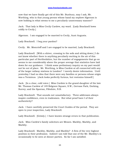now that we have finally got rid of this Mr. Bunbury, may I ask, Mr. Worthing, who is that young person whose hand my nephew Algernon is now holding in what seems to me a peculiarly unnecessary manner?

Jack. That lady is Miss Cecily Cardew, my ward. [Lady Bracknell bows coldly to Cecily.]

Algernon. I am engaged to be married to Cecily, Aunt Augusta.

Lady Bracknell. I beg your pardon?

Cecily. Mr. Moncrieff and I are engaged to be married, Lady Bracknell.

Lady Bracknell. [With a shiver, crossing to the sofa and sitting down.] I do not know whether there is anything peculiarly exciting in the air of this particular part of Hertfordshire, but the number of engagements that go on seems to me considerably above the proper average that statistics have laid down for our guidance. I think some preliminary inquiry on my part would not be out of place. Mr. Worthing, is Miss Cardew at all connected with any of the larger railway stations in London? I merely desire information. Until yesterday I had no idea that there were any families or persons whose origin was a Terminus. [Jack looks perfectly furious, but restrains himself.]

Jack. [In a clear, cold voice.] Miss Cardew is the grand-daughter of the late Mr. Thomas Cardew of 149 Belgrave Square, S.W.; Gervase Park, Dorking, Surrey; and the Sporran, Fifeshire, N.B.

Lady Bracknell. That sounds not unsatisfactory. Three addresses always inspire confidence, even in tradesmen. But what proof have I of their authenticity?

Jack. I have carefully preserved the Court Guides of the period. They are open to your inspection, Lady Bracknell.

Lady Bracknell. [Grimly.] I have known strange errors in that publication.

Jack. Miss Cardew's family solicitors are Messrs. Markby, Markby, and Markby.

Lady Bracknell. Markby, Markby, and Markby? A firm of the very highest position in their profession. Indeed I am told that one of the Mr. Markby's is occasionally to be seen at dinner parties. So far I am satisfied.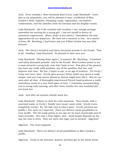Jack. [Very irritably.] How extremely kind of you, Lady Bracknell! I have also in my possession, you will be pleased to hear, certificates of Miss Cardew's birth, baptism, whooping cough, registration, vaccination, confirmation, and the measles; both the German and the English variety.

Lady Bracknell. Ah! A life crowded with incident, I see; though perhaps somewhat too exciting for a young girl. I am not myself in favour of premature experiences. [Rises, looks at her watch.] Gwendolen! the time approaches for our departure. We have not a moment to lose. As a matter of form, Mr. Worthing, I had better ask you if Miss Cardew has any little fortune?

Jack. Oh! about a hundred and thirty thousand pounds in the Funds. That is all. Goodbye, Lady Bracknell. So pleased to have seen you.

Lady Bracknell. [Sitting down again.] A moment, Mr. Worthing. A hundred and thirty thousand pounds! And in the Funds! Miss Cardew seems to me a most attractive young lady, now that I look at her. Few girls of the present day have any really solid qualities, any of the qualities that last, and improve with time. We live, I regret to say, in an age of surfaces. [To Cecily.] Come over here, dear. [Cecily goes across.] Pretty child! your dress is sadly simple, and your hair seems almost as Nature might have left it. But we can soon alter all that. A thoroughly experienced French maid produces a really marvellous result in a very brief space of time. I remember recommending one to young Lady Lancing, and after three months her own husband did not know her.

Jack. And after six months nobody knew her.

Lady Bracknell. [Glares at Jack for a few moments. Then bends, with a practised smile, to Cecily.] Kindly turn round, sweet child. [Cecily turns completely round.] No, the side view is what I want. [Cecily presents her profile.] Yes, quite as I expected. There are distinct social possibilities in your profile. The two weak points in our age are its want of principle and its want of profile. The chin a little higher, dear. Style largely depends on the way the chin is worn. They are worn very high, just at present. Algernon!

Algernon. Yes, Aunt Augusta!

Lady Bracknell. There are distinct social possibilities in Miss Cardew's profile.

Algernon. Cecily is the sweetest, dearest, prettiest girl in the whole world.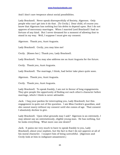And I don't care twopence about social possibilities.

Lady Bracknell. Never speak disrespectfully of Society, Algernon. Only people who can't get into it do that. [To Cecily.] Dear child, of course you know that Algernon has nothing but his debts to depend upon. But I do not approve of mercenary marriages. When I married Lord Bracknell I had no fortune of any kind. But I never dreamed for a moment of allowing that to stand in my way. Well, I suppose I must give my consent.

Algernon. Thank you, Aunt Augusta.

Lady Bracknell. Cecily, you may kiss me!

Cecily. [Kisses her.] Thank you, Lady Bracknell.

Lady Bracknell. You may also address me as Aunt Augusta for the future.

Cecily. Thank you, Aunt Augusta.

Lady Bracknell. The marriage, I think, had better take place quite soon.

Algernon. Thank you, Aunt Augusta.

Cecily. Thank you, Aunt Augusta.

Lady Bracknell. To speak frankly, I am not in favour of long engagements. They give people the opportunity of finding out each other's character before marriage, which I think is never advisable.

Jack. I beg your pardon for interrupting you, Lady Bracknell, but this engagement is quite out of the question. I am Miss Cardew's guardian, and she cannot marry without my consent until she comes of age. That consent I absolutely decline to give.

Lady Bracknell. Upon what grounds may I ask? Algernon is an extremely, I may almost say an ostentatiously, eligible young man. He has nothing, but he looks everything. What more can one desire?

Jack. It pains me very much to have to speak frankly to you, Lady Bracknell, about your nephew, but the fact is that I do not approve at all of his moral character. I suspect him of being untruthful. [Algernon and Cecily look at him in indignant amazement.]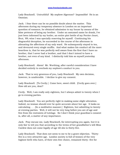Lady Bracknell. Untruthful! My nephew Algernon? Impossible! He is an Oxonian.

Jack. I fear there can be no possible doubt about the matter. This afternoon during my temporary absence in London on an important question of romance, he obtained admission to my house by means of the false pretence of being my brother. Under an assumed name he drank, I've just been informed by my butler, an entire pint bottle of my Perrier-Jouet, Brut, '89; wine I was specially reserving for myself. Continuing his disgraceful deception, he succeeded in the course of the afternoon in alienating the affections of my only ward. He subsequently stayed to tea, and devoured every single muffin. And what makes his conduct all the more heartless is, that he was perfectly well aware from the first that I have no brother, that I never had a brother, and that I don't intend to have a brother, not even of any kind. I distinctly told him so myself yesterday afternoon.

Lady Bracknell. Ahem! Mr. Worthing, after careful consideration I have decided entirely to overlook my nephew's conduct to you.

Jack. That is very generous of you, Lady Bracknell. My own decision, however, is unalterable. I decline to give my consent.

Lady Bracknell. [To Cecily.] Come here, sweet child. [Cecily goes over.] How old are you, dear?

Cecily. Well, I am really only eighteen, but I always admit to twenty when I go to evening parties.

Lady Bracknell. You are perfectly right in making some slight alteration. Indeed, no woman should ever be quite accurate about her age. It looks so calculating . . . [In a meditative manner.] Eighteen, but admitting to twenty at evening parties. Well, it will not be very long before you are of age and free from the restraints of tutelage. So I don't think your guardian's consent is, after all, a matter of any importance.

Jack. Pray excuse me, Lady Bracknell, for interrupting you again, but it is only fair to tell you that according to the terms of her grandfather's will Miss Cardew does not come legally of age till she is thirty-five.

Lady Bracknell. That does not seem to me to be a grave objection. Thirtyfive is a very attractive age. London society is full of women of the very highest birth who have, of their own free choice, remained thirty- five for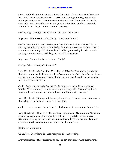years. Lady Dumbleton is an instance in point. To my own knowledge she has been thirty-five ever since she arrived at the age of forty, which was many years ago now. I see no reason why our dear Cecily should not be even still more attractive at the age you mention than she is at present. There will be a large accumulation of property.

Cecily. Algy, could you wait for me till I was thirty-five?

Algernon. Of course I could, Cecily. You know I could.

Cecily. Yes, I felt it instinctively, but I couldn't wait all that time. I hate waiting even five minutes for anybody. It always makes me rather cross. I am not punctual myself, I know, but I do like punctuality in others, and waiting, even to be married, is quite out of the question.

Algernon. Then what is to be done, Cecily?

Cecily. I don't know, Mr. Moncrieff.

Lady Bracknell. My dear Mr. Worthing, as Miss Cardew states positively that she cannot wait till she is thirty-five--a remark which I am bound to say seems to me to show a somewhat impatient nature--I would beg of you to reconsider your decision.

Jack. But my dear Lady Bracknell, the matter is entirely in your own hands. The moment you consent to my marriage with Gwendolen, I will most gladly allow your nephew to form an alliance with my ward.

Lady Bracknell. [Rising and drawing herself up.] You must be quite aware that what you propose is out of the question.

Jack. Then a passionate celibacy is all that any of us can look forward to.

Lady Bracknell. That is not the destiny I propose for Gwendolen. Algernon, of course, can choose for himself. [Pulls out her watch.] Come, dear, [Gwendolen rises] we have already missed five, if not six, trains. To miss any more might expose us to comment on the platform.

[Enter Dr. Chasuble.]

Chasuble. Everything is quite ready for the christenings.

Lady Bracknell. The christenings, sir! Is not that somewhat premature?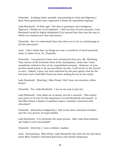Chasuble. [Looking rather puzzled, and pointing to Jack and Algernon.] Both these gentlemen have expressed a desire for immediate baptism.

Lady Bracknell. At their age? The idea is grotesque and irreligious! Algernon, I forbid you to be baptized. I will not hear of such excesses. Lord Bracknell would be highly displeased if he learned that that was the way in which you wasted your time and money.

Chasuble. Am I to understand then that there are to be no christenings at all this afternoon?

Jack. I don't think that, as things are now, it would be of much practical value to either of us, Dr. Chasuble.

Chasuble. I am grieved to hear such sentiments from you, Mr. Worthing. They savour of the heretical views of the Anabaptists, views that I have completely refuted in four of my unpublished sermons. However, as your present mood seems to be one peculiarly secular, I will return to the church at once. Indeed, I have just been informed by the pew-opener that for the last hour and a half Miss Prism has been waiting for me in the vestry.

Lady Bracknell. [Starting.] Miss Prism! Did I hear you mention a Miss Prism?

Chasuble. Yes, Lady Bracknell. I am on my way to join her.

Lady Bracknell. Pray allow me to detain you for a moment. This matter may prove to be one of vital importance to Lord Bracknell and myself. Is this Miss Prism a female of repellent aspect, remotely connected with education?

Chasuble. [Somewhat indignantly.] She is the most cultivated of ladies, and the very picture of respectability.

Lady Bracknell. It is obviously the same person. May I ask what position she holds in your household?

Chasuble. [Severely.] I am a celibate, madam.

Jack. [Interposing.] Miss Prism, Lady Bracknell, has been for the last three years Miss Cardew's esteemed governess and valued companion.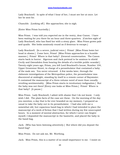Lady Bracknell. In spite of what I hear of her, I must see her at once. Let her be sent for.

Chasuble. [Looking off.] She approaches; she is nigh.

[Enter Miss Prism hurriedly.]

Miss Prism. I was told you expected me in the vestry, dear Canon. I have been waiting for you there for an hour and three-quarters. [Catches sight of Lady Bracknell, who has fixed her with a stony glare. Miss Prism grows pale and quails. She looks anxiously round as if desirous to escape.]

Lady Bracknell. [In a severe, judicial voice.] Prism! [Miss Prism bows her head in shame.] Come here, Prism! [Miss Prism approaches in a humble manner.] Prism! Where is that baby? [General consternation. The Canon starts back in horror. Algernon and Jack pretend to be anxious to shield Cecily and Gwendolen from hearing the details of a terrible public scandal.] Twenty-eight years ago, Prism, you left Lord Bracknell's house, Number 104, Upper Grosvenor Street, in charge of a perambulator that contained a baby of the male sex. You never returned. A few weeks later, through the elaborate investigations of the Metropolitan police, the perambulator was discovered at midnight, standing by itself in a remote corner of Bayswater. It contained the manuscript of a three-volume novel of more than usually revolting sentimentality. [Miss Prism starts in involuntary indignation.] But the baby was not there! [Every one looks at Miss Prism.] Prism! Where is that baby? [A pause.]

Miss Prism. Lady Bracknell, I admit with shame that I do not know. I only wish I did. The plain facts of the case are these. On the morning of the day you mention, a day that is for ever branded on my memory, I prepared as usual to take the baby out in its perambulator. I had also with me a somewhat old, but capacious hand-bag in which I had intended to place the manuscript of a work of fiction that I had written during my few unoccupied hours. In a moment of mental abstraction, for which I never can forgive myself, I deposited the manuscript in the basinette, and placed the baby in the hand-bag.

Jack. [Who has been listening attentively.] But where did you deposit the hand-bag?

Miss Prism. Do not ask me, Mr. Worthing.

Jack. Miss Prism, this is a matter of no small importance to me. I insist on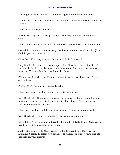knowing where you deposited the hand-bag that contained that infant.

Miss Prism. I left it in the cloak-room of one of the larger railway stations in London.

Jack. What railway station?

Miss Prism. [Quite crushed.] Victoria. The Brighton line. [Sinks into a chair.]

Jack. I must retire to my room for a moment. Gwendolen, wait here for me.

Gwendolen. If you are not too long, I will wait here for you all my life. [Exit Jack in great excitement.]

Chasuble. What do you think this means, Lady Bracknell?

Lady Bracknell. I dare not even suspect, Dr. Chasuble. I need hardly tell you that in families of high position strange coincidences are not supposed to occur. They are hardly considered the thing.

[Noises heard overhead as if some one was throwing trunks about. Every one looks up.]

Cecily. Uncle Jack seems strangely agitated.

Chasuble. Your guardian has a very emotional nature.

Lady Bracknell. This noise is extremely unpleasant. It sounds as if he was having an argument. I dislike arguments of any kind. They are always vulgar, and often convincing.

Chasuble. [Looking up.] It has stopped now. [The noise is redoubled.]

Lady Bracknell. I wish he would arrive at some conclusion.

Gwendolen. This suspense is terrible. I hope it will last. [Enter Jack with a hand-bag of black leather in his hand.]

Jack. [Rushing over to Miss Prism.] Is this the hand-bag, Miss Prism? Examine it carefully before you speak. The happiness of more than one life depends on your answer.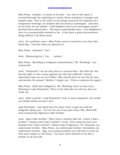Miss Prism. [Calmly.] It seems to be mine. Yes, here is the injury it received through the upsetting of a Gower Street omnibus in younger and happier days. Here is the stain on the lining caused by the explosion of a temperance beverage, an incident that occurred at Leamington. And here, on the lock, are my initials. I had forgotten that in an extravagant mood I had had them placed there. The bag is undoubtedly mine. I am delighted to have it so unexpectedly restored to me. It has been a great inconvenience being without it all these years.

Jack. [In a pathetic voice.] Miss Prism, more is restored to you than this hand-bag. I was the baby you placed in it.

Miss Prism. [Amazed.] You?

Jack. [Embracing her.] Yes . . . mother!

Miss Prism. [Recoiling in indignant astonishment.] Mr. Worthing! I am unmarried!

Jack. Unmarried! I do not deny that is a serious blow. But after all, who has the right to cast a stone against one who has suffered? Cannot repentance wipe out an act of folly? Why should there be one law for men, and another for women? Mother, I forgive you. [Tries to embrace her again.]

Miss Prism. [Still more indignant.] Mr. Worthing, there is some error. [Pointing to Lady Bracknell.] There is the lady who can tell you who you really are.

Jack. [After a pause.] Lady Bracknell, I hate to seem inquisitive, but would you kindly inform me who I am?

Lady Bracknell. I am afraid that the news I have to give you will not altogether please you. You are the son of my poor sister, Mrs. Moncrieff, and consequently Algernon's elder brother.

Jack. Algy's elder brother! Then I have a brother after all. I knew I had a brother! I always said I had a brother! Cecily,--how could you have ever doubted that I had a brother? [Seizes hold of Algernon.] Dr. Chasuble, my unfortunate brother. Miss Prism, my unfortunate brother. Gwendolen, my unfortunate brother. Algy, you young scoundrel, you will have to treat me with more respect in the future. You have never behaved to me like a brother in all your life.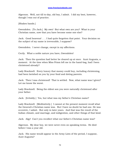Algernon. Well, not till to-day, old boy, I admit. I did my best, however, though I was out of practice.

[Shakes hands.]

Gwendolen. [To Jack.] My own! But what own are you? What is your Christian name, now that you have become some one else?

Jack. Good heavens! . . . I had quite forgotten that point. Your decision on the subject of my name is irrevocable, I suppose?

Gwendolen. I never change, except in my affections.

Cecily. What a noble nature you have, Gwendolen!

Jack. Then the question had better be cleared up at once. Aunt Augusta, a moment. At the time when Miss Prism left me in the hand-bag, had I been christened already?

Lady Bracknell. Every luxury that money could buy, including christening, had been lavished on you by your fond and doting parents.

Jack. Then I was christened! That is settled. Now, what name was I given? Let me know the worst.

Lady Bracknell. Being the eldest son you were naturally christened after your father.

Jack. [Irritably.] Yes, but what was my father's Christian name?

Lady Bracknell. [Meditatively.] I cannot at the present moment recall what the General's Christian name was. But I have no doubt he had one. He was eccentric, I admit. But only in later years. And that was the result of the Indian climate, and marriage, and indigestion, and other things of that kind.

Jack. Algy! Can't you recollect what our father's Christian name was?

Algernon. My dear boy, we were never even on speaking terms. He died before I was a year old.

Jack. His name would appear in the Army Lists of the period, I suppose, Aunt Augusta?